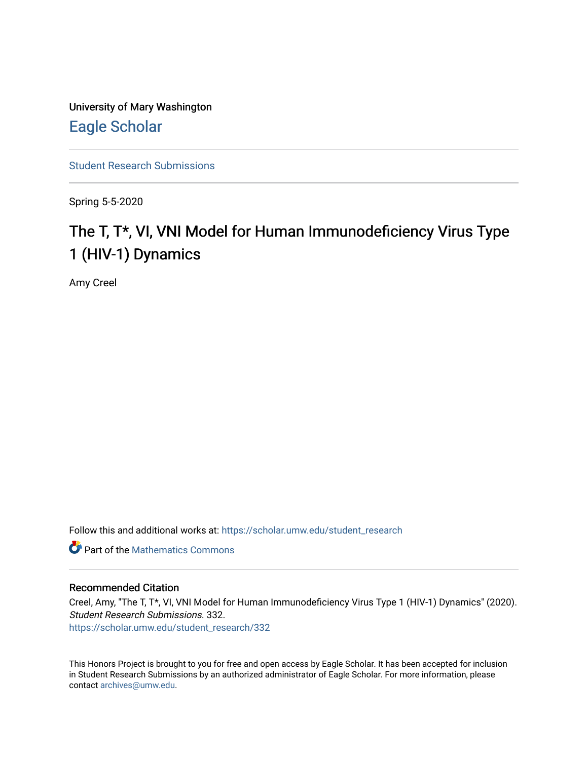University of Mary Washington [Eagle Scholar](https://scholar.umw.edu/) 

[Student Research Submissions](https://scholar.umw.edu/student_research) 

Spring 5-5-2020

# The T, T\*, VI, VNI Model for Human Immunodeficiency Virus Type 1 (HIV-1) Dynamics

Amy Creel

Follow this and additional works at: [https://scholar.umw.edu/student\\_research](https://scholar.umw.edu/student_research?utm_source=scholar.umw.edu%2Fstudent_research%2F332&utm_medium=PDF&utm_campaign=PDFCoverPages)

**C** Part of the [Mathematics Commons](http://network.bepress.com/hgg/discipline/174?utm_source=scholar.umw.edu%2Fstudent_research%2F332&utm_medium=PDF&utm_campaign=PDFCoverPages)

### Recommended Citation

Creel, Amy, "The T, T\*, VI, VNI Model for Human Immunodeficiency Virus Type 1 (HIV-1) Dynamics" (2020). Student Research Submissions. 332. [https://scholar.umw.edu/student\\_research/332](https://scholar.umw.edu/student_research/332?utm_source=scholar.umw.edu%2Fstudent_research%2F332&utm_medium=PDF&utm_campaign=PDFCoverPages)

This Honors Project is brought to you for free and open access by Eagle Scholar. It has been accepted for inclusion in Student Research Submissions by an authorized administrator of Eagle Scholar. For more information, please contact [archives@umw.edu](mailto:archives@umw.edu).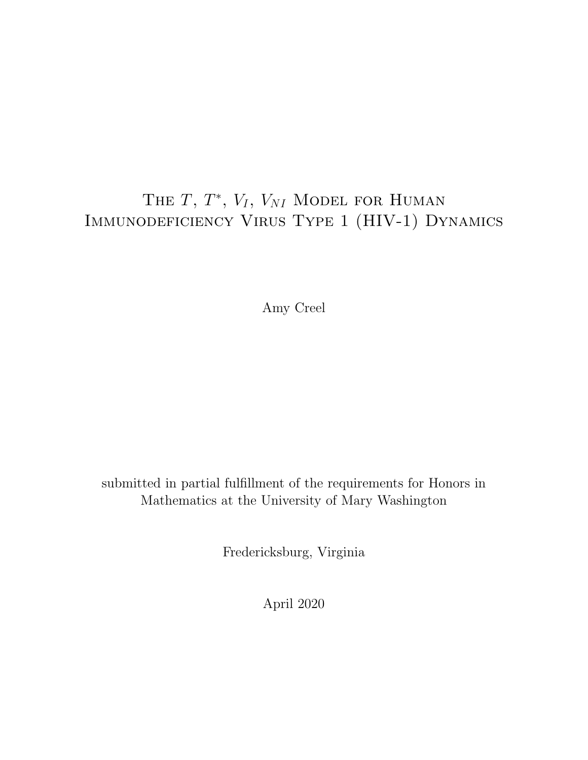## THE  $T, T^*, V_I, V_{NI}$  Model for Human Immunodeficiency Virus Type 1 (HIV-1) Dynamics

Amy Creel

submitted in partial fulfillment of the requirements for Honors in Mathematics at the University of Mary Washington

Fredericksburg, Virginia

April 2020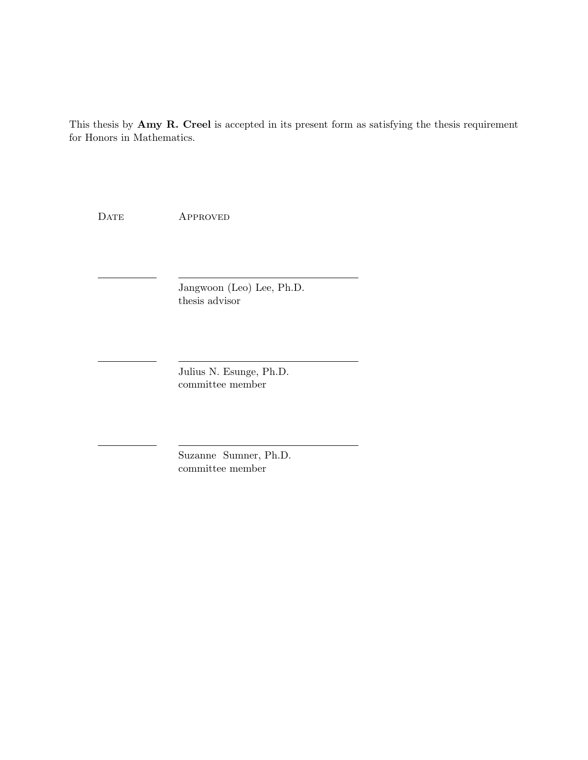This thesis by Amy R. Creel is accepted in its present form as satisfying the thesis requirement for Honors in Mathematics.

DATE APPROVED

Jangwoon (Leo) Lee, Ph.D. thesis advisor

Julius N. Esunge, Ph.D. committee member

Suzanne Sumner, Ph.D. committee member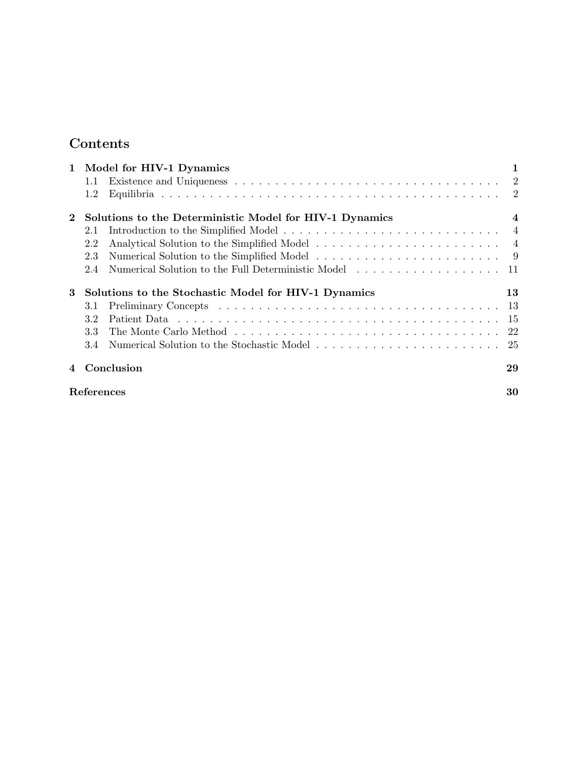## Contents

|          | 1 Model for HIV-1 Dynamics |                                                                                                                  | 1              |
|----------|----------------------------|------------------------------------------------------------------------------------------------------------------|----------------|
|          | $1.1\,$                    | Existence and Uniqueness $\ldots \ldots \ldots \ldots \ldots \ldots \ldots \ldots \ldots \ldots \ldots \ldots 2$ |                |
|          | 1.2                        |                                                                                                                  |                |
| $\bf{2}$ |                            | Solutions to the Deterministic Model for HIV-1 Dynamics                                                          | $\overline{4}$ |
|          | 2.1                        |                                                                                                                  |                |
|          | 2.2                        |                                                                                                                  |                |
|          | 2.3                        |                                                                                                                  |                |
|          | 2.4                        | Numerical Solution to the Full Deterministic Model                                                               | -11            |
| 3        |                            | Solutions to the Stochastic Model for HIV-1 Dynamics                                                             | 13             |
|          | 3.1                        |                                                                                                                  |                |
|          | 3.2                        |                                                                                                                  |                |
|          | 3.3                        |                                                                                                                  |                |
|          | 3.4                        |                                                                                                                  |                |
|          | Conclusion                 |                                                                                                                  | 29             |
|          | References                 |                                                                                                                  | 30             |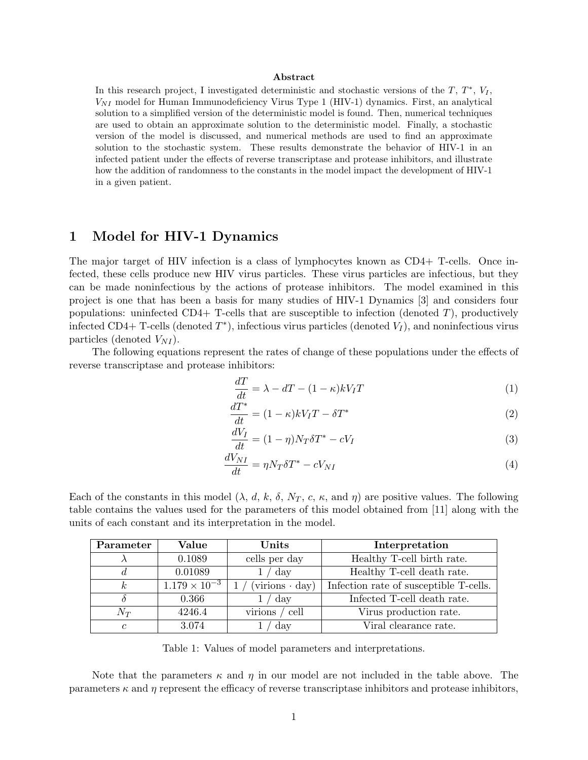#### Abstract

In this research project, I investigated deterministic and stochastic versions of the  $T, T^*, V_I$ ,  $V_{NI}$  model for Human Immunodeficiency Virus Type 1 (HIV-1) dynamics. First, an analytical solution to a simplified version of the deterministic model is found. Then, numerical techniques are used to obtain an approximate solution to the deterministic model. Finally, a stochastic version of the model is discussed, and numerical methods are used to find an approximate solution to the stochastic system. These results demonstrate the behavior of HIV-1 in an infected patient under the effects of reverse transcriptase and protease inhibitors, and illustrate how the addition of randomness to the constants in the model impact the development of HIV-1 in a given patient.

## 1 Model for HIV-1 Dynamics

The major target of HIV infection is a class of lymphocytes known as CD4+ T-cells. Once infected, these cells produce new HIV virus particles. These virus particles are infectious, but they can be made noninfectious by the actions of protease inhibitors. The model examined in this project is one that has been a basis for many studies of HIV-1 Dynamics [3] and considers four populations: uninfected CD4+ T-cells that are susceptible to infection (denoted  $T$ ), productively infected CD4+ T-cells (denoted  $T^*$ ), infectious virus particles (denoted  $V_I$ ), and noninfectious virus particles (denoted  $V_{NI}$ ).

The following equations represent the rates of change of these populations under the effects of reverse transcriptase and protease inhibitors:

$$
\frac{dT}{dt} = \lambda - dT - (1 - \kappa)kV_T T \tag{1}
$$

$$
\frac{dT^*}{dt} = (1 - \kappa)kV_T T - \delta T^* \tag{2}
$$

$$
\frac{dV_I}{dt} = (1 - \eta)N_T \delta T^* - cV_I \tag{3}
$$

$$
\frac{dV_{NI}}{dt} = \eta N_T \delta T^* - cV_{NI} \tag{4}
$$

Each of the constants in this model  $(\lambda, d, k, \delta, N_T, c, \kappa, \text{and } \eta)$  are positive values. The following table contains the values used for the parameters of this model obtained from [11] along with the units of each constant and its interpretation in the model.

| Parameter      | Value                             | Units                    | Interpretation                         |
|----------------|-----------------------------------|--------------------------|----------------------------------------|
|                | 0.1089                            | cells per day            | Healthy T-cell birth rate.             |
|                | 0.01089                           | 1 / day                  | Healthy T-cell death rate.             |
| $\kappa$       | $\overline{1.179 \times 10^{-3}}$ | $(virions \cdot day)$    | Infection rate of susceptible T-cells. |
|                | 0.366                             | day                      | Infected T-cell death rate.            |
| $N_T$          | 4246.4                            | virions<br>$\prime$ cell | Virus production rate.                 |
| $\mathfrak{c}$ | 3.074                             | day                      | Viral clearance rate.                  |

Table 1: Values of model parameters and interpretations.

Note that the parameters  $\kappa$  and  $\eta$  in our model are not included in the table above. The parameters  $\kappa$  and  $\eta$  represent the efficacy of reverse transcriptase inhibitors and protease inhibitors,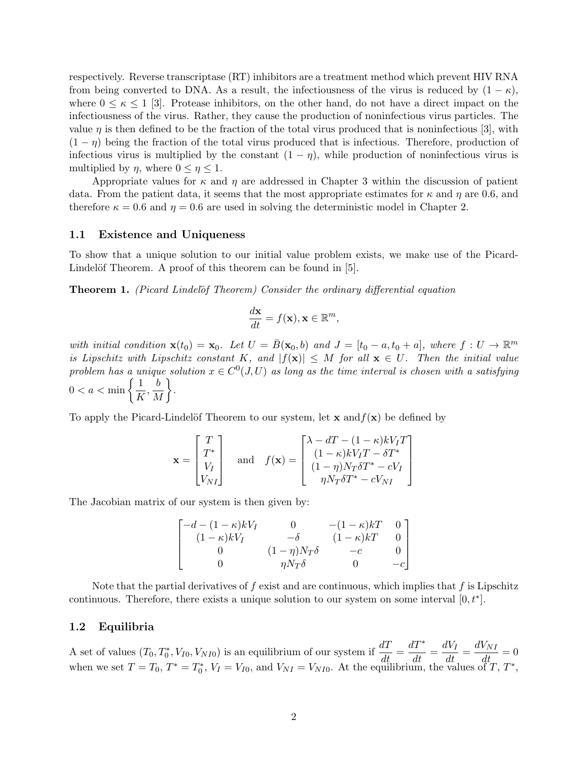respectively. Reverse transcriptase (RT) inhibitors are a treatment method which prevent HIV RNA from being converted to DNA. As a result, the infectiousness of the virus is reduced by  $(1 - \kappa)$ , where  $0 \leq \kappa \leq 1$  [3]. Protease inhibitors, on the other hand, do not have a direct impact on the infectiousness of the virus. Rather, they cause the production of noninfectious virus particles. The value  $\eta$  is then defined to be the fraction of the total virus produced that is noninfectious [3], with  $(1 - \eta)$  being the fraction of the total virus produced that is infectious. Therefore, production of infectious virus is multiplied by the constant  $(1 - \eta)$ , while production of noninfectious virus is multiplied by  $\eta$ , where  $0 \leq \eta \leq 1$ .

Appropriate values for  $\kappa$  and  $\eta$  are addressed in Chapter 3 within the discussion of patient data. From the patient data, it seems that the most appropriate estimates for  $\kappa$  and  $\eta$  are 0.6, and therefore  $\kappa = 0.6$  and  $\eta = 0.6$  are used in solving the deterministic model in Chapter 2.

#### 1.1 Existence and Uniqueness

To show that a unique solution to our initial value problem exists, we make use of the Picard-Lindelöf Theorem. A proof of this theorem can be found in [5].

Theorem 1. (Picard Lindelof Theorem) Consider the ordinary differential equation

$$
\frac{d\mathbf{x}}{dt} = f(\mathbf{x}), \mathbf{x} \in \mathbb{R}^m,
$$

with initial condition  $\mathbf{x}(t_0) = \mathbf{x}_0$ . Let  $U = \overline{B}(\mathbf{x}_0, b)$  and  $J = [t_0 - a, t_0 + a]$ , where  $f : U \to \mathbb{R}^m$ is Lipschitz with Lipschitz constant K, and  $|f(\mathbf{x})| \leq M$  for all  $\mathbf{x} \in U$ . Then the initial value problem has a unique solution  $x \in C^0(J, U)$  as long as the time interval is chosen with a satisfying  $0 < a < \min \left\{\frac{1}{L}\right\}$  $\frac{1}{K}, \frac{b}{N}$ M  $\big\}$ .

To apply the Picard-Lindelöf Theorem to our system, let  $\mathbf x$  and  $f(\mathbf x)$  be defined by

$$
\mathbf{x} = \begin{bmatrix} T \\ T^* \\ V_I \\ V_{NI} \end{bmatrix} \quad \text{and} \quad f(\mathbf{x}) = \begin{bmatrix} \lambda - dT - (1 - \kappa)kV_I T \\ (1 - \kappa)kV_I T - \delta T^* \\ (1 - \eta)N_T \delta T^* - cV_I \\ \eta N_T \delta T^* - cV_{NI} \end{bmatrix}
$$

The Jacobian matrix of our system is then given by:

$$
\begin{bmatrix}\n-d - (1 - \kappa)kV_I & 0 & -(1 - \kappa)kT & 0 \\
(1 - \kappa)kV_I & -\delta & (1 - \kappa)kT & 0 \\
0 & (1 - \eta)N_T\delta & -c & 0 \\
0 & \eta N_T\delta & 0 & -c\n\end{bmatrix}
$$

Note that the partial derivatives of f exist and are continuous, which implies that f is Lipschitz continuous. Therefore, there exists a unique solution to our system on some interval  $[0, t^*]$ .

#### 1.2 Equilibria

A set of values  $(T_0, T_0^*, V_{I0}, V_{NI0})$  is an equilibrium of our system if  $\frac{dT}{dt}$ dT<sup>∗</sup>  $\frac{dT^*}{dt} = \frac{dV_I}{dt} = \frac{dV_{NI}}{dt} = 0$ when we set  $T = T_0$ ,  $T^* = T_0^*$ ,  $V_I = V_{I0}$ , and  $V_{NI} = V_{NI0}$ . At the equilibrium, the values of  $T, T^*$ ,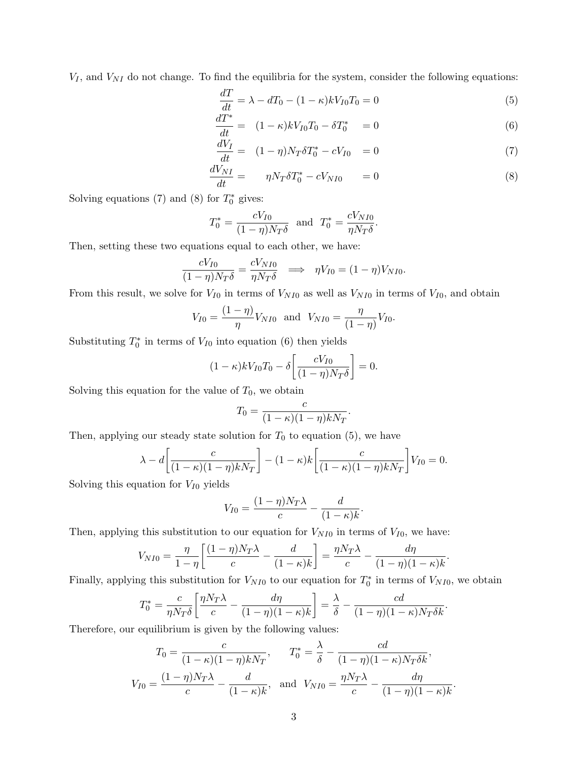$V_I$ , and  $V_{NI}$  do not change. To find the equilibria for the system, consider the following equations:

$$
\frac{dT}{dt} = \lambda - dT_0 - (1 - \kappa)kV_{I0}T_0 = 0\tag{5}
$$

$$
\frac{dT^*}{dt} = (1 - \kappa)kV_{I0}T_0 - \delta T_0^* = 0
$$
\n(6)

$$
\frac{dV_I}{dt} = (1 - \eta)N_T \delta T_0^* - cV_{I0} = 0
$$
\n(7)

$$
\frac{dV_{NI}}{dt} = \eta N_T \delta T_0^* - cV_{NI0} = 0 \tag{8}
$$

.

Solving equations (7) and (8) for  $T_0^*$  gives:

$$
T_0^* = \frac{cV_{I0}}{(1 - \eta)N_T\delta}
$$
 and  $T_0^* = \frac{cV_{N I0}}{\eta N_T\delta}$ .

Then, setting these two equations equal to each other, we have:

$$
\frac{cV_{I0}}{(1-\eta)N_T\delta} = \frac{cV_{NI0}}{\eta N_T\delta} \implies \eta V_{I0} = (1-\eta)V_{NI0}.
$$

From this result, we solve for  $V_{I0}$  in terms of  $V_{NI0}$  as well as  $V_{NI0}$  in terms of  $V_{I0}$ , and obtain

$$
V_{I0} = \frac{(1 - \eta)}{\eta} V_{NI0}
$$
 and  $V_{NI0} = \frac{\eta}{(1 - \eta)} V_{I0}$ .

Substituting  $T_0^*$  in terms of  $V_{I0}$  into equation (6) then yields

$$
(1 - \kappa)kV_{I0}T_0 - \delta \left[ \frac{cV_{I0}}{(1 - \eta)N_T\delta} \right] = 0.
$$

Solving this equation for the value of  $T_0$ , we obtain

$$
T_0 = \frac{c}{(1 - \kappa)(1 - \eta)kN_T}.
$$

Then, applying our steady state solution for  $T_0$  to equation (5), we have

$$
\lambda - d \left[ \frac{c}{(1 - \kappa)(1 - \eta)k N_T} \right] - (1 - \kappa) k \left[ \frac{c}{(1 - \kappa)(1 - \eta)k N_T} \right] V_{I0} = 0.
$$

Solving this equation for  $V_{I0}$  yields

$$
V_{I0} = \frac{(1 - \eta)N_T\lambda}{c} - \frac{d}{(1 - \kappa)k}
$$

Then, applying this substitution to our equation for  $V_{NI0}$  in terms of  $V_{IO}$ , we have:

$$
V_{NIO} = \frac{\eta}{1-\eta} \left[ \frac{(1-\eta)N_T\lambda}{c} - \frac{d}{(1-\kappa)k} \right] = \frac{\eta N_T\lambda}{c} - \frac{d\eta}{(1-\eta)(1-\kappa)k}.
$$

Finally, applying this substitution for  $V_{NI0}$  to our equation for  $T_0^*$  in terms of  $V_{NI0}$ , we obtain

$$
T_0^* = \frac{c}{\eta N_T \delta} \left[ \frac{\eta N_T \lambda}{c} - \frac{d\eta}{(1-\eta)(1-\kappa)k} \right] = \frac{\lambda}{\delta} - \frac{cd}{(1-\eta)(1-\kappa)N_T \delta k}.
$$

Therefore, our equilibrium is given by the following values:

$$
T_0 = \frac{c}{(1 - \kappa)(1 - \eta)kN_T}, \qquad T_0^* = \frac{\lambda}{\delta} - \frac{cd}{(1 - \eta)(1 - \kappa)N_T\delta k},
$$
  

$$
V_{I0} = \frac{(1 - \eta)N_T\lambda}{c} - \frac{d}{(1 - \kappa)k}, \text{ and } V_{NI0} = \frac{\eta N_T\lambda}{c} - \frac{d\eta}{(1 - \eta)(1 - \kappa)k}.
$$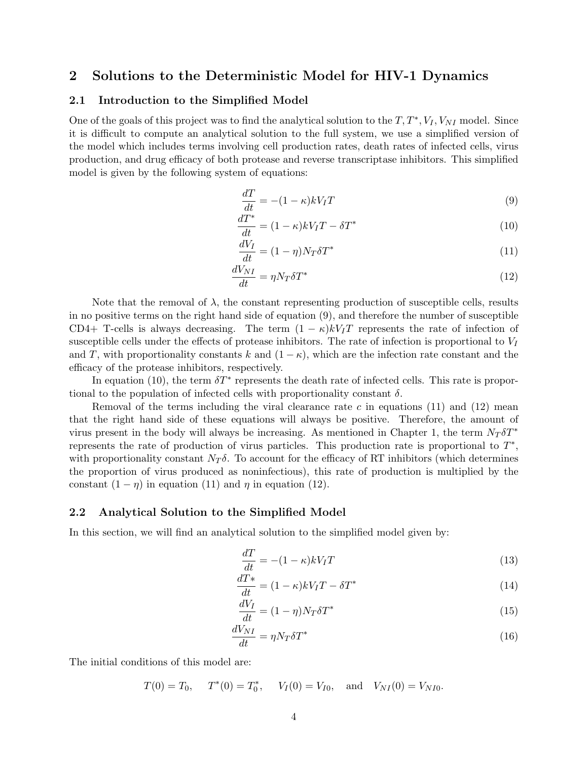## 2 Solutions to the Deterministic Model for HIV-1 Dynamics

#### 2.1 Introduction to the Simplified Model

One of the goals of this project was to find the analytical solution to the  $T, T^*, V_I, V_{NI}$  model. Since it is difficult to compute an analytical solution to the full system, we use a simplified version of the model which includes terms involving cell production rates, death rates of infected cells, virus production, and drug efficacy of both protease and reverse transcriptase inhibitors. This simplified model is given by the following system of equations:

$$
\frac{dT}{dt} = -(1 - \kappa)kV_T T \tag{9}
$$

$$
\frac{dT^*}{dt} = (1 - \kappa)kV_I T - \delta T^* \tag{10}
$$

$$
\frac{dV_I}{dt} = (1 - \eta)N_T \delta T^*
$$
\n(11)

$$
\frac{dV_{NI}}{dt} = \eta N_T \delta T^* \tag{12}
$$

Note that the removal of  $\lambda$ , the constant representing production of susceptible cells, results in no positive terms on the right hand side of equation (9), and therefore the number of susceptible CD4+ T-cells is always decreasing. The term  $(1 - \kappa)kV_TT$  represents the rate of infection of susceptible cells under the effects of protease inhibitors. The rate of infection is proportional to  $V_I$ and T, with proportionality constants k and  $(1 - \kappa)$ , which are the infection rate constant and the efficacy of the protease inhibitors, respectively.

In equation (10), the term  $\delta T^*$  represents the death rate of infected cells. This rate is proportional to the population of infected cells with proportionality constant  $\delta$ .

Removal of the terms including the viral clearance rate  $c$  in equations (11) and (12) mean that the right hand side of these equations will always be positive. Therefore, the amount of virus present in the body will always be increasing. As mentioned in Chapter 1, the term  $N_T \delta T^*$ represents the rate of production of virus particles. This production rate is proportional to  $T^*$ , with proportionality constant  $N_T \delta$ . To account for the efficacy of RT inhibitors (which determines the proportion of virus produced as noninfectious), this rate of production is multiplied by the constant  $(1 - \eta)$  in equation (11) and  $\eta$  in equation (12).

#### 2.2 Analytical Solution to the Simplified Model

In this section, we will find an analytical solution to the simplified model given by:

$$
\frac{dT}{dt} = -(1 - \kappa)kV_T T \tag{13}
$$

$$
\frac{dT^*}{dt} = (1 - \kappa)kV_T - \delta T^* \tag{14}
$$

$$
\frac{dV_I}{dt} = (1 - \eta)N_T \delta T^*
$$
\n(15)

$$
\frac{dV_{NI}}{dt} = \eta N_T \delta T^* \tag{16}
$$

The initial conditions of this model are:

 $T(0) = T_0$ ,  $T^*(0) = T_0^*$ ,  $V_I(0) = V_{I0}$ , and  $V_{NI}(0) = V_{N I0}$ .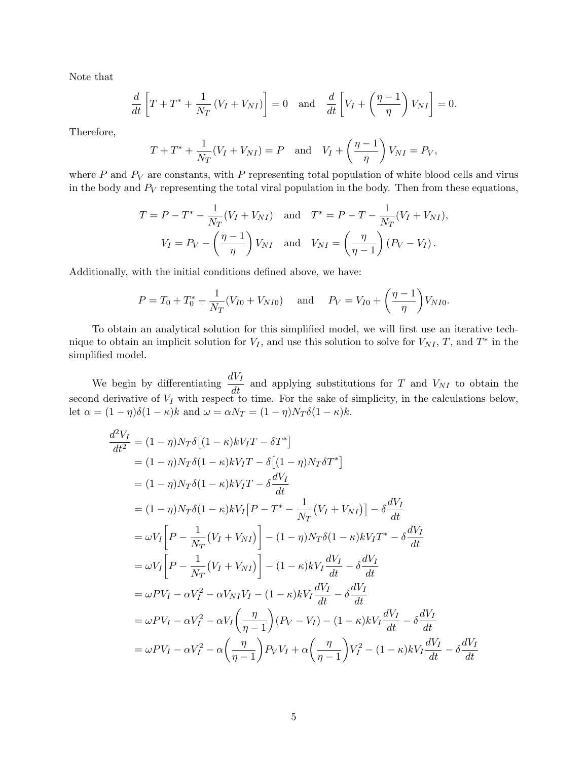Note that

$$
\frac{d}{dt}\left[T+T^*+\frac{1}{N_T}\left(V_I+V_{NI}\right)\right]=0 \text{ and } \frac{d}{dt}\left[V_I+\left(\frac{\eta-1}{\eta}\right)V_{NI}\right]=0.
$$

Therefore,

$$
T + T^* + \frac{1}{N_T}(V_I + V_{NI}) = P
$$
 and  $V_I + \left(\frac{\eta - 1}{\eta}\right)V_{NI} = P_V$ ,

where  $P$  and  $P_V$  are constants, with  $P$  representing total population of white blood cells and virus in the body and  $P_V$  representing the total viral population in the body. Then from these equations,

$$
T = P - T^* - \frac{1}{N_T}(V_I + V_{NI}) \text{ and } T^* = P - T - \frac{1}{N_T}(V_I + V_{NI}),
$$
  

$$
V_I = P_V - \left(\frac{\eta - 1}{\eta}\right)V_{NI} \text{ and } V_{NI} = \left(\frac{\eta}{\eta - 1}\right)(P_V - V_I).
$$

Additionally, with the initial conditions defined above, we have:

$$
P = T_0 + T_0^* + \frac{1}{N_T}(V_{I0} + V_{N I0})
$$
 and  $P_V = V_{I0} + \left(\frac{\eta - 1}{\eta}\right)V_{N I0}$ .

To obtain an analytical solution for this simplified model, we will first use an iterative technique to obtain an implicit solution for  $V_I$ , and use this solution to solve for  $V_{NI}$ , T, and T<sup>\*</sup> in the simplified model.

We begin by differentiating  $\frac{dV_I}{dt}$  and applying substitutions for T and  $V_{NI}$  to obtain the second derivative of  $V_I$  with respect to time. For the sake of simplicity, in the calculations below, let  $\alpha = (1 - \eta)\delta(1 - \kappa)k$  and  $\omega = \alpha N_T = (1 - \eta)N_T\delta(1 - \kappa)k$ .

$$
\frac{d^2V_I}{dt^2} = (1 - \eta)N_T\delta\left[(1 - \kappa)kV_I T - \delta T^*\right]
$$
  
\n
$$
= (1 - \eta)N_T\delta(1 - \kappa)kV_I T - \delta\left[(1 - \eta)N_T\delta T^*\right]
$$
  
\n
$$
= (1 - \eta)N_T\delta(1 - \kappa)kV_I T - \delta\frac{dV_I}{dt}
$$
  
\n
$$
= (1 - \eta)N_T\delta(1 - \kappa)kV_I[P - T^* - \frac{1}{N_T}(V_I + V_{NI})] - \delta\frac{dV_I}{dt}
$$
  
\n
$$
= \omega V_I \left[P - \frac{1}{N_T}(V_I + V_{NI})\right] - (1 - \eta)N_T\delta(1 - \kappa)kV_I T^* - \delta\frac{dV_I}{dt}
$$
  
\n
$$
= \omega V_I \left[P - \frac{1}{N_T}(V_I + V_{NI})\right] - (1 - \kappa)kV_I \frac{dV_I}{dt} - \delta\frac{dV_I}{dt}
$$
  
\n
$$
= \omega PV_I - \alpha V_I^2 - \alpha V_{NI}V_I - (1 - \kappa)kV_I \frac{dV_I}{dt} - \delta\frac{dV_I}{dt}
$$
  
\n
$$
= \omega PV_I - \alpha V_I^2 - \alpha V_I \left(\frac{\eta}{\eta - 1}\right)(P_V - V_I) - (1 - \kappa)kV_I \frac{dV_I}{dt} - \delta\frac{dV_I}{dt}
$$
  
\n
$$
= \omega PV_I - \alpha V_I^2 - \alpha \left(\frac{\eta}{\eta - 1}\right)P_VV_I + \alpha \left(\frac{\eta}{\eta - 1}\right)V_I^2 - (1 - \kappa)kV_I \frac{dV_I}{dt} - \delta\frac{dV_I}{dt}
$$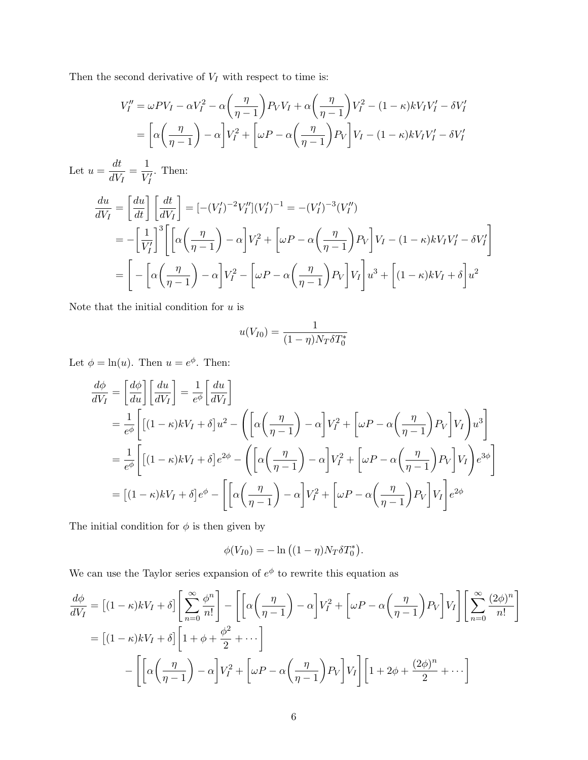Then the second derivative of  ${\cal V}_I$  with respect to time is:

$$
V''_I = \omega P V_I - \alpha V_I^2 - \alpha \left(\frac{\eta}{\eta - 1}\right) P_V V_I + \alpha \left(\frac{\eta}{\eta - 1}\right) V_I^2 - (1 - \kappa) k V_I V_I' - \delta V_I'
$$
  
= 
$$
\left[\alpha \left(\frac{\eta}{\eta - 1}\right) - \alpha\right] V_I^2 + \left[\omega P - \alpha \left(\frac{\eta}{\eta - 1}\right) P_V\right] V_I - (1 - \kappa) k V_I V_I' - \delta V_I'
$$

Let  $u = \frac{dt}{dt}$  $\frac{dt}{dV_I} = \frac{1}{V_I}$  $\overline{V_I'}$ . Then:

$$
\frac{du}{dV_I} = \left[\frac{du}{dt}\right] \left[\frac{dt}{dV_I}\right] = \left[-(V_I')^{-2}V_I''\right](V_I')^{-1} = -(V_I')^{-3}(V_I'')
$$
\n
$$
= -\left[\frac{1}{V_I'}\right]^3 \left[\left[\alpha\left(\frac{\eta}{\eta - 1}\right) - \alpha\right]V_I^2 + \left[\omega P - \alpha\left(\frac{\eta}{\eta - 1}\right)P_V\right]V_I - (1 - \kappa)kV_IV_I' - \delta V_I'\right]
$$
\n
$$
= \left[-\left[\alpha\left(\frac{\eta}{\eta - 1}\right) - \alpha\right]V_I^2 - \left[\omega P - \alpha\left(\frac{\eta}{\eta - 1}\right)P_V\right]V_I\right]u^3 + \left[(1 - \kappa)kV_I + \delta\right]u^2
$$

Note that the initial condition for  $u$  is

$$
u(V_{I0}) = \frac{1}{(1 - \eta)N_T \delta T_0^*}
$$

Let  $\phi = \ln(u)$ . Then  $u = e^{\phi}$ . Then:

$$
\frac{d\phi}{dV_I} = \left[\frac{d\phi}{du}\right] \left[\frac{du}{dV_I}\right] = \frac{1}{e^{\phi}} \left[\frac{du}{dV_I}\right]
$$
\n
$$
= \frac{1}{e^{\phi}} \left[\left[(1-\kappa)kV_I + \delta\right]u^2 - \left(\left[\alpha\left(\frac{\eta}{\eta-1}\right) - \alpha\right]V_I^2 + \left[\omega P - \alpha\left(\frac{\eta}{\eta-1}\right)P_V\right]V_I\right)u^3\right]
$$
\n
$$
= \frac{1}{e^{\phi}} \left[\left[(1-\kappa)kV_I + \delta\right]e^{2\phi} - \left(\left[\alpha\left(\frac{\eta}{\eta-1}\right) - \alpha\right]V_I^2 + \left[\omega P - \alpha\left(\frac{\eta}{\eta-1}\right)P_V\right]V_I\right)e^{3\phi}\right]
$$
\n
$$
= \left[(1-\kappa)kV_I + \delta\right]e^{\phi} - \left[\left[\alpha\left(\frac{\eta}{\eta-1}\right) - \alpha\right]V_I^2 + \left[\omega P - \alpha\left(\frac{\eta}{\eta-1}\right)P_V\right]V_I\right]e^{2\phi}
$$

The initial condition for  $\phi$  is then given by

$$
\phi(V_{I0}) = -\ln((1-\eta)N_T\delta T_0^*).
$$

We can use the Taylor series expansion of  $e^{\phi}$  to rewrite this equation as

$$
\frac{d\phi}{dV_I} = \left[ (1 - \kappa)kV_I + \delta \right] \left[ \sum_{n=0}^{\infty} \frac{\phi^n}{n!} \right] - \left[ \left[ \alpha \left( \frac{\eta}{\eta - 1} \right) - \alpha \right] V_I^2 + \left[ \omega P - \alpha \left( \frac{\eta}{\eta - 1} \right) P_V \right] V_I \right] \left[ \sum_{n=0}^{\infty} \frac{(2\phi)^n}{n!} \right]
$$

$$
= \left[ (1 - \kappa)kV_I + \delta \right] \left[ 1 + \phi + \frac{\phi^2}{2} + \cdots \right]
$$

$$
- \left[ \left[ \alpha \left( \frac{\eta}{\eta - 1} \right) - \alpha \right] V_I^2 + \left[ \omega P - \alpha \left( \frac{\eta}{\eta - 1} \right) P_V \right] V_I \right] \left[ 1 + 2\phi + \frac{(2\phi)^n}{2} + \cdots \right]
$$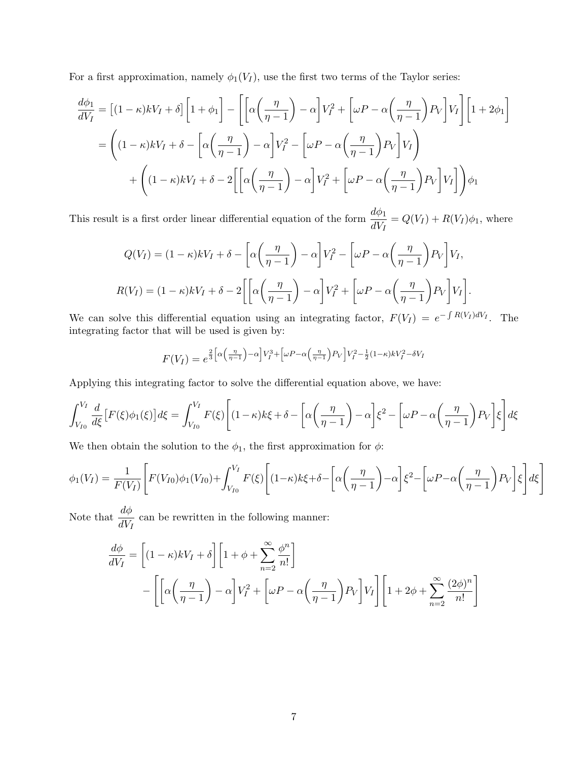For a first approximation, namely  $\phi_1(V_I)$ , use the first two terms of the Taylor series:

$$
\frac{d\phi_1}{dV_I} = \left[ (1 - \kappa)kV_I + \delta \right] \left[ 1 + \phi_1 \right] - \left[ \left[ \alpha \left( \frac{\eta}{\eta - 1} \right) - \alpha \right] V_I^2 + \left[ \omega P - \alpha \left( \frac{\eta}{\eta - 1} \right) P_V \right] V_I \right] \left[ 1 + 2\phi_1 \right]
$$

$$
= \left( (1 - \kappa)kV_I + \delta - \left[ \alpha \left( \frac{\eta}{\eta - 1} \right) - \alpha \right] V_I^2 - \left[ \omega P - \alpha \left( \frac{\eta}{\eta - 1} \right) P_V \right] V_I \right)
$$

$$
+ \left( (1 - \kappa)kV_I + \delta - 2 \left[ \left[ \alpha \left( \frac{\eta}{\eta - 1} \right) - \alpha \right] V_I^2 + \left[ \omega P - \alpha \left( \frac{\eta}{\eta - 1} \right) P_V \right] V_I \right] \right) \phi_1
$$

This result is a first order linear differential equation of the form  $\frac{d\phi_1}{d\sigma}$  $\frac{d\omega_{\mathcal{V}}}{dV_I} = Q(V_I) + R(V_I)\phi_1$ , where

$$
Q(V_I) = (1 - \kappa)kV_I + \delta - \left[\alpha\left(\frac{\eta}{\eta - 1}\right) - \alpha\right]V_I^2 - \left[\omega P - \alpha\left(\frac{\eta}{\eta - 1}\right)P_V\right]V_I,
$$
  

$$
R(V_I) = (1 - \kappa)kV_I + \delta - 2\left[\left[\alpha\left(\frac{\eta}{\eta - 1}\right) - \alpha\right]V_I^2 + \left[\omega P - \alpha\left(\frac{\eta}{\eta - 1}\right)P_V\right]V_I\right].
$$

We can solve this differential equation using an integrating factor,  $F(V_I) = e^{-\int R(V_I)dV_I}$ . The integrating factor that will be used is given by:

$$
F(V_I) = e^{\frac{2}{3}\left[\alpha\left(\frac{\eta}{\eta-1}\right) - \alpha\right]V_I^3 + \left[\omega P - \alpha\left(\frac{\eta}{\eta-1}\right)P_V\right]V_I^2 - \frac{1}{2}(1-\kappa)kV_I^2 - \delta V_I}
$$

Applying this integrating factor to solve the differential equation above, we have:

$$
\int_{V_{I0}}^{V_I} \frac{d}{d\xi} \left[ F(\xi) \phi_1(\xi) \right] d\xi = \int_{V_{I0}}^{V_I} F(\xi) \left[ (1 - \kappa)k\xi + \delta - \left[ \alpha \left( \frac{\eta}{\eta - 1} \right) - \alpha \right] \xi^2 - \left[ \omega P - \alpha \left( \frac{\eta}{\eta - 1} \right) P_V \right] \xi \right] d\xi
$$

We then obtain the solution to the  $\phi_1$ , the first approximation for  $\phi$ :

$$
\phi_1(V_I) = \frac{1}{F(V_I)} \left[ F(V_{I0})\phi_1(V_{I0}) + \int_{V_{I0}}^{V_I} F(\xi) \left[ (1-\kappa)k\xi + \delta - \left[ \alpha \left( \frac{\eta}{\eta - 1} \right) - \alpha \right] \xi^2 - \left[ \omega P - \alpha \left( \frac{\eta}{\eta - 1} \right) P_V \right] \xi \right] d\xi \right]
$$

Note that  $\frac{d\phi}{d\sigma}$  $\frac{d\mathcal{V}}{dV_I}$  can be rewritten in the following manner:

$$
\frac{d\phi}{dV_I} = \left[ (1 - \kappa)kV_I + \delta \right] \left[ 1 + \phi + \sum_{n=2}^{\infty} \frac{\phi^n}{n!} \right]
$$

$$
- \left[ \left[ \alpha \left( \frac{\eta}{\eta - 1} \right) - \alpha \right] V_I^2 + \left[ \omega P - \alpha \left( \frac{\eta}{\eta - 1} \right) P_V \right] V_I \right] \left[ 1 + 2\phi + \sum_{n=2}^{\infty} \frac{(2\phi)^n}{n!} \right]
$$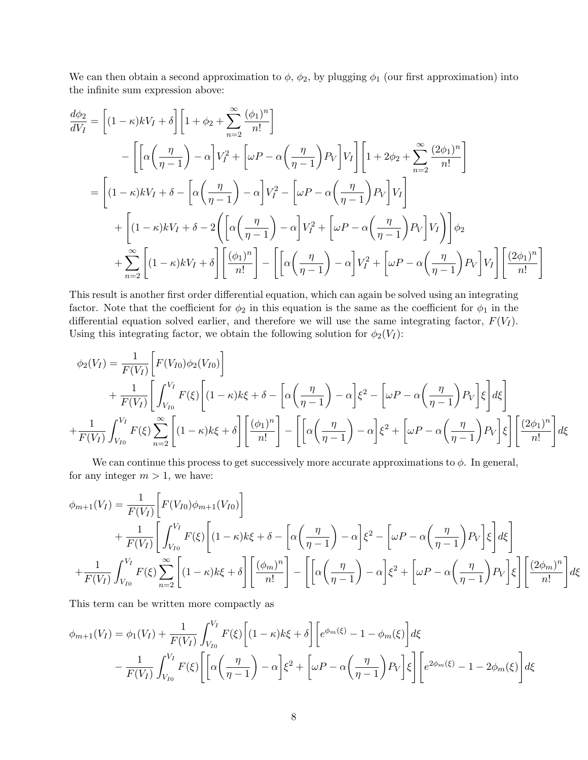We can then obtain a second approximation to  $\phi$ ,  $\phi_2$ , by plugging  $\phi_1$  (our first approximation) into the infinite sum expression above:

$$
\frac{d\phi_2}{dV_I} = \left[ (1 - \kappa)kV_I + \delta \right] \left[ 1 + \phi_2 + \sum_{n=2}^{\infty} \frac{(\phi_1)^n}{n!} \right]
$$
  
\n
$$
- \left[ \left[ \alpha \left( \frac{\eta}{\eta - 1} \right) - \alpha \right] V_I^2 + \left[ \omega P - \alpha \left( \frac{\eta}{\eta - 1} \right) P_V \right] V_I \right] \left[ 1 + 2\phi_2 + \sum_{n=2}^{\infty} \frac{(2\phi_1)^n}{n!} \right]
$$
  
\n
$$
= \left[ (1 - \kappa)kV_I + \delta - \left[ \alpha \left( \frac{\eta}{\eta - 1} \right) - \alpha \right] V_I^2 - \left[ \omega P - \alpha \left( \frac{\eta}{\eta - 1} \right) P_V \right] V_I \right]
$$
  
\n
$$
+ \left[ (1 - \kappa)kV_I + \delta - 2 \left( \left[ \alpha \left( \frac{\eta}{\eta - 1} \right) - \alpha \right] V_I^2 + \left[ \omega P - \alpha \left( \frac{\eta}{\eta - 1} \right) P_V \right] V_I \right] \right] \phi_2
$$
  
\n
$$
+ \sum_{n=2}^{\infty} \left[ (1 - \kappa)kV_I + \delta \right] \left[ \frac{(\phi_1)^n}{n!} \right] - \left[ \left[ \alpha \left( \frac{\eta}{\eta - 1} \right) - \alpha \right] V_I^2 + \left[ \omega P - \alpha \left( \frac{\eta}{\eta - 1} \right) P_V \right] V_I \right] \left[ \frac{(2\phi_1)^n}{n!} \right]
$$

This result is another first order differential equation, which can again be solved using an integrating factor. Note that the coefficient for  $\phi_2$  in this equation is the same as the coefficient for  $\phi_1$  in the differential equation solved earlier, and therefore we will use the same integrating factor,  $F(V_I)$ . Using this integrating factor, we obtain the following solution for  $\phi_2(V_I)$ :

$$
\phi_2(V_I) = \frac{1}{F(V_I)} \left[ F(V_{I0}) \phi_2(V_{I0}) \right]
$$
  
+ 
$$
\frac{1}{F(V_I)} \left[ \int_{V_{I0}}^{V_I} F(\xi) \left[ (1 - \kappa)k\xi + \delta - \left[ \alpha \left( \frac{\eta}{\eta - 1} \right) - \alpha \right] \xi^2 - \left[ \omega P - \alpha \left( \frac{\eta}{\eta - 1} \right) P_V \right] \xi \right] d\xi \right]
$$
  
+ 
$$
\frac{1}{F(V_I)} \int_{V_{I0}}^{V_I} F(\xi) \sum_{n=2}^{\infty} \left[ (1 - \kappa)k\xi + \delta \right] \left[ \frac{(\phi_1)^n}{n!} \right] - \left[ \left[ \alpha \left( \frac{\eta}{\eta - 1} \right) - \alpha \right] \xi^2 + \left[ \omega P - \alpha \left( \frac{\eta}{\eta - 1} \right) P_V \right] \xi \right] \left[ \frac{(2\phi_1)^n}{n!} \right] d\xi
$$

We can continue this process to get successively more accurate approximations to  $\phi$ . In general, for any integer  $m > 1$ , we have:

$$
\phi_{m+1}(V_I) = \frac{1}{F(V_I)} \left[ F(V_{I0}) \phi_{m+1}(V_{I0}) \right]
$$
  
+ 
$$
\frac{1}{F(V_I)} \left[ \int_{V_{I0}}^{V_I} F(\xi) \left[ (1 - \kappa)k\xi + \delta - \left[ \alpha \left( \frac{\eta}{\eta - 1} \right) - \alpha \right] \xi^2 - \left[ \omega P - \alpha \left( \frac{\eta}{\eta - 1} \right) P_V \right] \xi \right] d\xi \right]
$$
  
+ 
$$
\frac{1}{F(V_I)} \int_{V_{I0}}^{V_I} F(\xi) \sum_{n=2}^{\infty} \left[ (1 - \kappa)k\xi + \delta \right] \left[ \frac{(\phi_m)^n}{n!} \right] - \left[ \left[ \alpha \left( \frac{\eta}{\eta - 1} \right) - \alpha \right] \xi^2 + \left[ \omega P - \alpha \left( \frac{\eta}{\eta - 1} \right) P_V \right] \xi \right] \left[ \frac{(2\phi_m)^n}{n!} \right] d\xi
$$

This term can be written more compactly as

$$
\phi_{m+1}(V_I) = \phi_1(V_I) + \frac{1}{F(V_I)} \int_{V_{I0}}^{V_I} F(\xi) \left[ (1 - \kappa)k\xi + \delta \right] \left[ e^{\phi_m(\xi)} - 1 - \phi_m(\xi) \right] d\xi
$$
  
 
$$
- \frac{1}{F(V_I)} \int_{V_{I0}}^{V_I} F(\xi) \left[ \left[ \alpha \left( \frac{\eta}{\eta - 1} \right) - \alpha \right] \xi^2 + \left[ \omega P - \alpha \left( \frac{\eta}{\eta - 1} \right) P_V \right] \xi \right] \left[ e^{2\phi_m(\xi)} - 1 - 2\phi_m(\xi) \right] d\xi
$$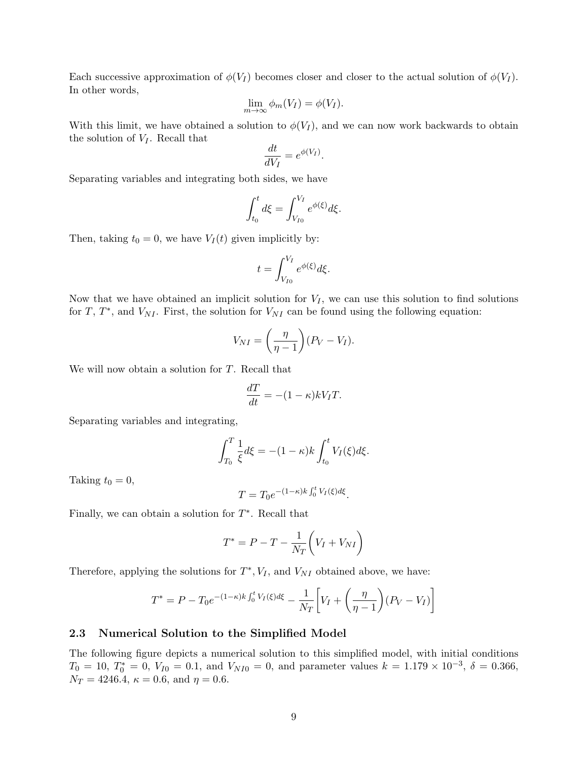Each successive approximation of  $\phi(V_I)$  becomes closer and closer to the actual solution of  $\phi(V_I)$ . In other words,

$$
\lim_{m \to \infty} \phi_m(V_I) = \phi(V_I).
$$

With this limit, we have obtained a solution to  $\phi(V_I)$ , and we can now work backwards to obtain the solution of  $V_I$ . Recall that

$$
\frac{dt}{dV_I} = e^{\phi(V_I)}.
$$

Separating variables and integrating both sides, we have

$$
\int_{t_0}^t d\xi = \int_{V_{I0}}^{V_I} e^{\phi(\xi)} d\xi.
$$

Then, taking  $t_0 = 0$ , we have  $V_I(t)$  given implicitly by:

$$
t = \int_{V_{I0}}^{V_I} e^{\phi(\xi)} d\xi.
$$

Now that we have obtained an implicit solution for  $V_I$ , we can use this solution to find solutions for T,  $T^*$ , and  $V_{NI}$ . First, the solution for  $V_{NI}$  can be found using the following equation:

$$
V_{NI} = \left(\frac{\eta}{\eta - 1}\right)(P_V - V_I).
$$

We will now obtain a solution for T. Recall that

$$
\frac{dT}{dt} = -(1 - \kappa)kV_T.
$$

Separating variables and integrating,

$$
\int_{T_0}^{T} \frac{1}{\xi} d\xi = -(1 - \kappa) k \int_{t_0}^{t} V_I(\xi) d\xi.
$$

Taking  $t_0 = 0$ ,

$$
T = T_0 e^{-(1-\kappa)k \int_0^t V_I(\xi) d\xi}.
$$

Finally, we can obtain a solution for  $T^*$ . Recall that

$$
T^* = P - T - \frac{1}{N_T} \left( V_I + V_{NI} \right)
$$

Therefore, applying the solutions for  $T^*$ ,  $V_I$ , and  $V_{NI}$  obtained above, we have:

$$
T^* = P - T_0 e^{-(1-\kappa)k \int_0^t V_I(\xi) d\xi} - \frac{1}{N_T} \left[ V_I + \left( \frac{\eta}{\eta - 1} \right) (P_V - V_I) \right]
$$

#### 2.3 Numerical Solution to the Simplified Model

The following figure depicts a numerical solution to this simplified model, with initial conditions  $T_0 = 10, T_0^* = 0, V_{I0} = 0.1, \text{ and } V_{NI0} = 0, \text{ and parameter values } k = 1.179 \times 10^{-3}, \delta = 0.366,$  $N_T = 4246.4, \ \kappa = 0.6, \text{ and } \eta = 0.6.$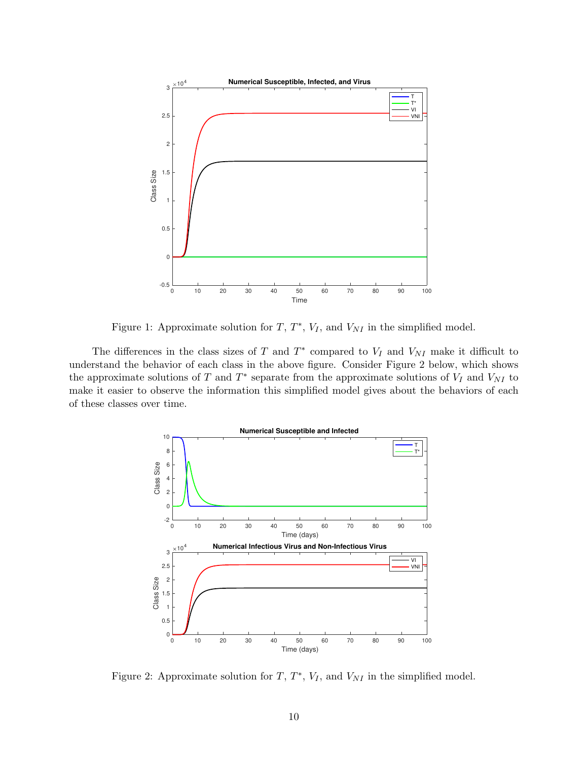

Figure 1: Approximate solution for  $T, T^*, V_I$ , and  $V_{NI}$  in the simplified model.

The differences in the class sizes of T and  $T^*$  compared to  $V_I$  and  $V_{NI}$  make it difficult to understand the behavior of each class in the above figure. Consider Figure 2 below, which shows the approximate solutions of T and  $T^*$  separate from the approximate solutions of  $V_I$  and  $V_{NI}$  to make it easier to observe the information this simplified model gives about the behaviors of each of these classes over time.



Figure 2: Approximate solution for  $T, T^*, V_I$ , and  $V_{NI}$  in the simplified model.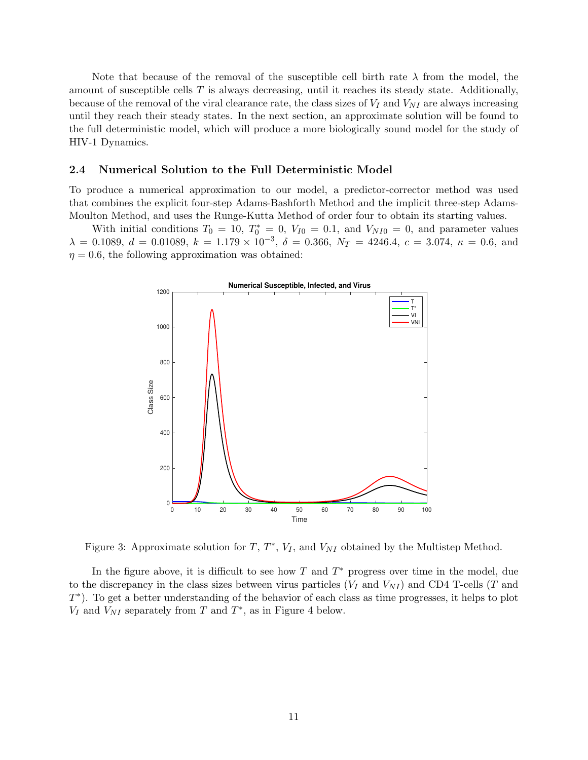Note that because of the removal of the susceptible cell birth rate  $\lambda$  from the model, the amount of susceptible cells  $T$  is always decreasing, until it reaches its steady state. Additionally, because of the removal of the viral clearance rate, the class sizes of  $V_I$  and  $V_{NI}$  are always increasing until they reach their steady states. In the next section, an approximate solution will be found to the full deterministic model, which will produce a more biologically sound model for the study of HIV-1 Dynamics.

#### 2.4 Numerical Solution to the Full Deterministic Model

To produce a numerical approximation to our model, a predictor-corrector method was used that combines the explicit four-step Adams-Bashforth Method and the implicit three-step Adams-Moulton Method, and uses the Runge-Kutta Method of order four to obtain its starting values.

With initial conditions  $T_0 = 10$ ,  $T_0^* = 0$ ,  $V_{I0} = 0.1$ , and  $V_{NI0} = 0$ , and parameter values  $\lambda = 0.1089, d = 0.01089, k = 1.179 \times 10^{-3}, \delta = 0.366, N_T = 4246.4, c = 3.074, \kappa = 0.6$ , and  $\eta = 0.6$ , the following approximation was obtained:



Figure 3: Approximate solution for  $T, T^*, V_I$ , and  $V_{NI}$  obtained by the Multistep Method.

In the figure above, it is difficult to see how  $T$  and  $T^*$  progress over time in the model, due to the discrepancy in the class sizes between virus particles  $(V_I \text{ and } V_{NI})$  and CD4 T-cells (T and T ∗ ). To get a better understanding of the behavior of each class as time progresses, it helps to plot  $V_I$  and  $V_{NI}$  separately from T and  $T^*$ , as in Figure 4 below.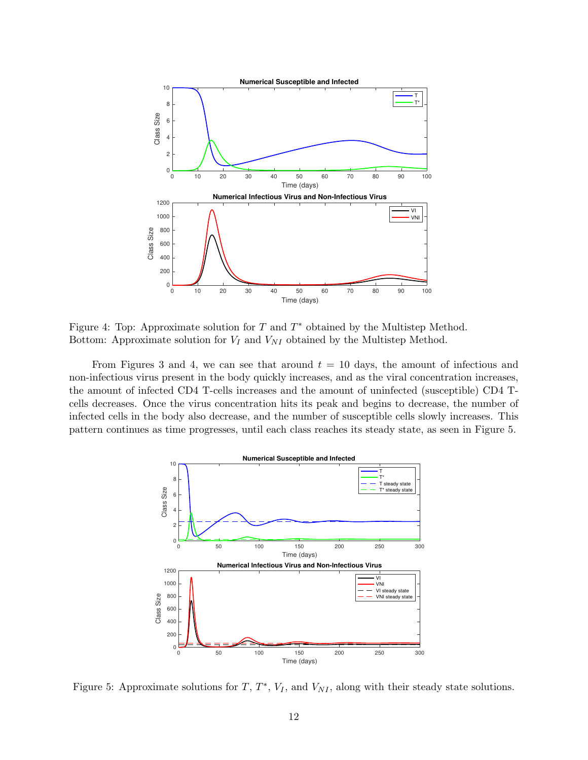

Figure 4: Top: Approximate solution for  $T$  and  $T^*$  obtained by the Multistep Method. Bottom: Approximate solution for  $V_I$  and  $V_{NI}$  obtained by the Multistep Method.

From Figures 3 and 4, we can see that around  $t = 10$  days, the amount of infectious and non-infectious virus present in the body quickly increases, and as the viral concentration increases, the amount of infected CD4 T-cells increases and the amount of uninfected (susceptible) CD4 Tcells decreases. Once the virus concentration hits its peak and begins to decrease, the number of infected cells in the body also decrease, and the number of susceptible cells slowly increases. This pattern continues as time progresses, until each class reaches its steady state, as seen in Figure 5.



Figure 5: Approximate solutions for  $T, T^*, V_I$ , and  $V_{NI}$ , along with their steady state solutions.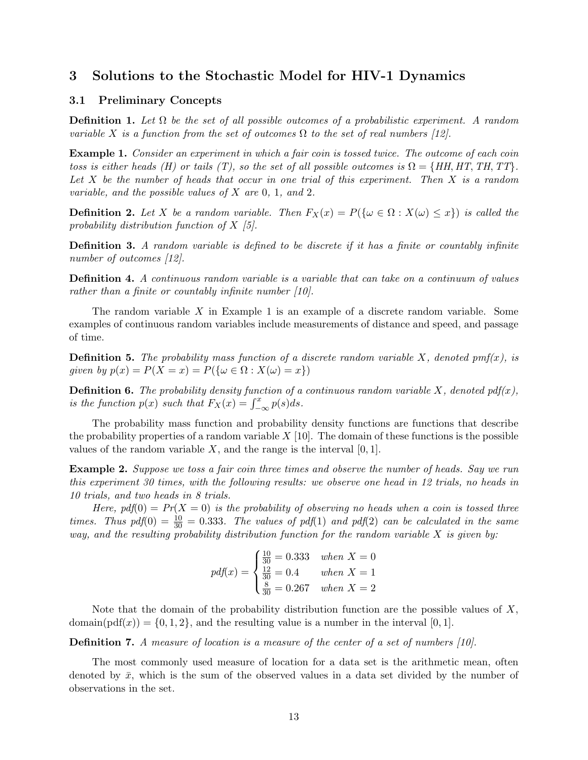## 3 Solutions to the Stochastic Model for HIV-1 Dynamics

#### 3.1 Preliminary Concepts

**Definition 1.** Let  $\Omega$  be the set of all possible outcomes of a probabilistic experiment. A random variable X is a function from the set of outcomes  $\Omega$  to the set of real numbers [12].

**Example 1.** Consider an experiment in which a fair coin is tossed twice. The outcome of each coin toss is either heads (H) or tails (T), so the set of all possible outcomes is  $\Omega = \{HH, HT, TH, TT\}$ . Let  $X$  be the number of heads that occur in one trial of this experiment. Then  $X$  is a random variable, and the possible values of  $X$  are 0, 1, and 2.

**Definition 2.** Let X be a random variable. Then  $F_X(x) = P(\{\omega \in \Omega : X(\omega) \leq x\})$  is called the probability distribution function of X [5].

Definition 3. A random variable is defined to be discrete if it has a finite or countably infinite number of outcomes [12].

Definition 4. A continuous random variable is a variable that can take on a continuum of values rather than a finite or countably infinite number [10].

The random variable  $X$  in Example 1 is an example of a discrete random variable. Some examples of continuous random variables include measurements of distance and speed, and passage of time.

**Definition 5.** The probability mass function of a discrete random variable X, denoted pmf(x), is given by  $p(x) = P(X = x) = P({\omega \in \Omega : X(\omega) = x})$ 

**Definition 6.** The probability density function of a continuous random variable X, denoted pdf(x), is the function  $p(x)$  such that  $F_X(x) = \int_{-\infty}^x p(s)ds$ .

The probability mass function and probability density functions are functions that describe the probability properties of a random variable  $X$  [10]. The domain of these functions is the possible values of the random variable  $X$ , and the range is the interval  $[0, 1]$ .

**Example 2.** Suppose we toss a fair coin three times and observe the number of heads. Say we run this experiment 30 times, with the following results: we observe one head in 12 trials, no heads in 10 trials, and two heads in 8 trials.

Here,  $pdf(0) = Pr(X = 0)$  is the probability of observing no heads when a coin is tossed three times. Thus  $pdf(0) = \frac{10}{30} = 0.333$ . The values of  $pdf(1)$  and  $pdf(2)$  can be calculated in the same way, and the resulting probability distribution function for the random variable  $X$  is given by:

$$
pdf(x) = \begin{cases} \frac{10}{30} = 0.333 & when X = 0\\ \frac{12}{30} = 0.4 & when X = 1\\ \frac{8}{30} = 0.267 & when X = 2 \end{cases}
$$

Note that the domain of the probability distribution function are the possible values of  $X$ , domain(pdf(x)) = {0, 1, 2}, and the resulting value is a number in the interval [0, 1].

Definition 7. A measure of location is a measure of the center of a set of numbers [10].

The most commonly used measure of location for a data set is the arithmetic mean, often denoted by  $\bar{x}$ , which is the sum of the observed values in a data set divided by the number of observations in the set.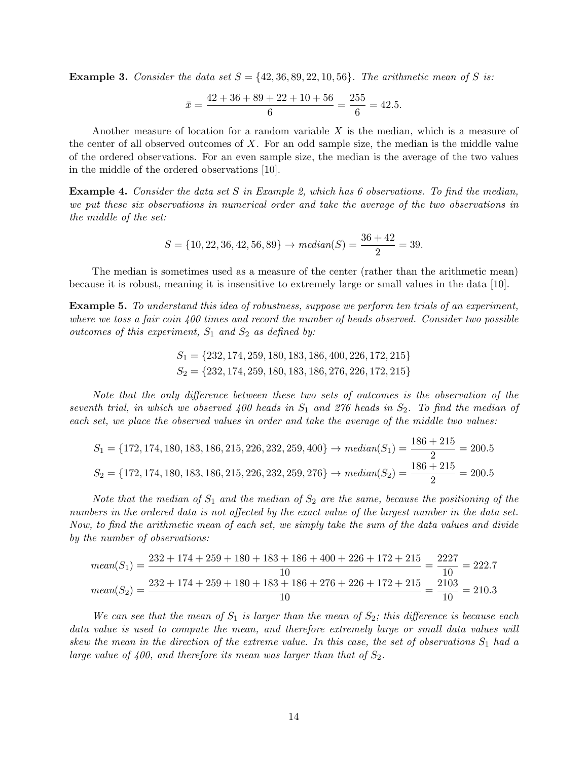**Example 3.** Consider the data set  $S = \{42, 36, 89, 22, 10, 56\}$ . The arithmetic mean of S is:

$$
\bar{x} = \frac{42 + 36 + 89 + 22 + 10 + 56}{6} = \frac{255}{6} = 42.5.
$$

Another measure of location for a random variable X is the median, which is a measure of the center of all observed outcomes of  $X$ . For an odd sample size, the median is the middle value of the ordered observations. For an even sample size, the median is the average of the two values in the middle of the ordered observations [10].

Example 4. Consider the data set S in Example 2, which has 6 observations. To find the median, we put these six observations in numerical order and take the average of the two observations in the middle of the set:

$$
S = \{10, 22, 36, 42, 56, 89\} \rightarrow \text{median}(S) = \frac{36 + 42}{2} = 39.
$$

The median is sometimes used as a measure of the center (rather than the arithmetic mean) because it is robust, meaning it is insensitive to extremely large or small values in the data [10].

Example 5. To understand this idea of robustness, suppose we perform ten trials of an experiment, where we toss a fair coin  $400$  times and record the number of heads observed. Consider two possible outcomes of this experiment,  $S_1$  and  $S_2$  as defined by:

$$
S_1 = \{232, 174, 259, 180, 183, 186, 400, 226, 172, 215\}
$$
  

$$
S_2 = \{232, 174, 259, 180, 183, 186, 276, 226, 172, 215\}
$$

Note that the only difference between these two sets of outcomes is the observation of the seventh trial, in which we observed 400 heads in  $S_1$  and 276 heads in  $S_2$ . To find the median of each set, we place the observed values in order and take the average of the middle two values:

$$
S_1 = \{172, 174, 180, 183, 186, 215, 226, 232, 259, 400\} \rightarrow median(S_1) = \frac{186 + 215}{2} = 200.5
$$
  

$$
S_2 = \{172, 174, 180, 183, 186, 215, 226, 232, 259, 276\} \rightarrow median(S_2) = \frac{186 + 215}{2} = 200.5
$$

Note that the median of  $S_1$  and the median of  $S_2$  are the same, because the positioning of the numbers in the ordered data is not affected by the exact value of the largest number in the data set. Now, to find the arithmetic mean of each set, we simply take the sum of the data values and divide by the number of observations:

$$
mean(S_1) = \frac{232 + 174 + 259 + 180 + 183 + 186 + 400 + 226 + 172 + 215}{10} = \frac{2227}{10} = 222.7
$$

$$
mean(S_2) = \frac{232 + 174 + 259 + 180 + 183 + 186 + 276 + 226 + 172 + 215}{10} = \frac{2103}{10} = 210.3
$$

We can see that the mean of  $S_1$  is larger than the mean of  $S_2$ ; this difference is because each data value is used to compute the mean, and therefore extremely large or small data values will skew the mean in the direction of the extreme value. In this case, the set of observations  $S_1$  had a large value of 400, and therefore its mean was larger than that of  $S_2$ .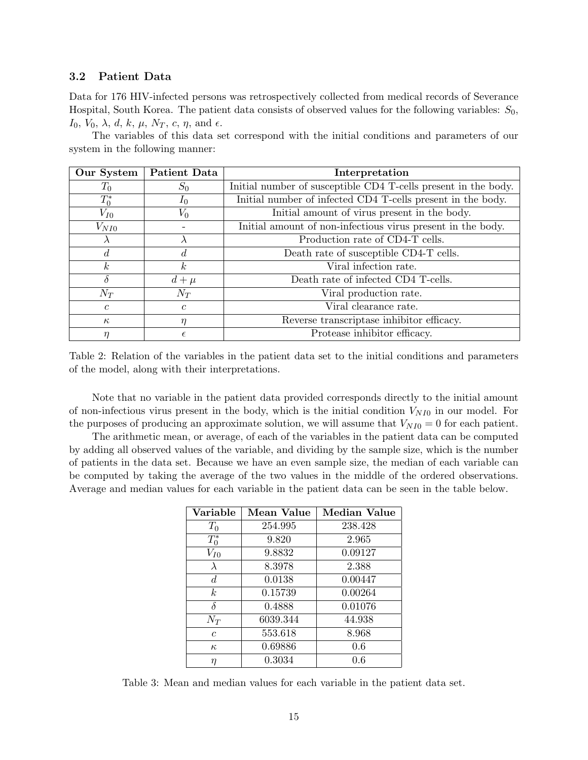#### 3.2 Patient Data

Data for 176 HIV-infected persons was retrospectively collected from medical records of Severance Hospital, South Korea. The patient data consists of observed values for the following variables:  $S_0$ ,  $I_0$ ,  $V_0$ ,  $\lambda$ ,  $d$ ,  $k$ ,  $\mu$ ,  $N_T$ ,  $c$ ,  $\eta$ , and  $\epsilon$ .

The variables of this data set correspond with the initial conditions and parameters of our system in the following manner:

| Our System     | <b>Patient Data</b> | Interpretation                                                 |  |
|----------------|---------------------|----------------------------------------------------------------|--|
| $T_0$          | $S_0$               | Initial number of susceptible CD4 T-cells present in the body. |  |
| $T_0^*$        | $I_0$               | Initial number of infected CD4 T-cells present in the body.    |  |
| $V_{I0}$       | $V_0$               | Initial amount of virus present in the body.                   |  |
| $V_{NI0}$      |                     | Initial amount of non-infectious virus present in the body.    |  |
| $\lambda$      |                     | Production rate of CD4-T cells.                                |  |
| $\overline{d}$ |                     | Death rate of susceptible CD4-T cells.                         |  |
| k <sub>i</sub> | k <sub>i</sub>      | Viral infection rate.                                          |  |
| $\delta$       | $d+\mu$             | Death rate of infected CD4 T-cells.                            |  |
| $N_T$          | $N_T$               | Viral production rate.                                         |  |
| $\mathcal{C}$  | $\mathcal{C}$       | Viral clearance rate.                                          |  |
| $\kappa$       | η                   | Reverse transcriptase inhibitor efficacy.                      |  |
| η              | E                   | Protease inhibitor efficacy.                                   |  |

Table 2: Relation of the variables in the patient data set to the initial conditions and parameters of the model, along with their interpretations.

Note that no variable in the patient data provided corresponds directly to the initial amount of non-infectious virus present in the body, which is the initial condition  $V_{NI0}$  in our model. For the purposes of producing an approximate solution, we will assume that  $V_{NI0} = 0$  for each patient.

The arithmetic mean, or average, of each of the variables in the patient data can be computed by adding all observed values of the variable, and dividing by the sample size, which is the number of patients in the data set. Because we have an even sample size, the median of each variable can be computed by taking the average of the two values in the middle of the ordered observations. Average and median values for each variable in the patient data can be seen in the table below.

| Variable       | Mean Value | Median Value |
|----------------|------------|--------------|
| $T_0$          | 254.995    | 238.428      |
| $T_0^*$        | 9.820      | 2.965        |
| $V_{I0}$       | 9.8832     | 0.09127      |
| $\lambda$      | 8.3978     | 2.388        |
| $d_{\cdot}$    | 0.0138     | 0.00447      |
| k <sub>i</sub> | 0.15739    | 0.00264      |
| δ              | 0.4888     | 0.01076      |
| $N_T$          | 6039.344   | 44.938       |
| $\overline{c}$ | 553.618    | 8.968        |
| $\kappa$       | 0.69886    | 0.6          |
| η              | 0.3034     | 0.6          |

Table 3: Mean and median values for each variable in the patient data set.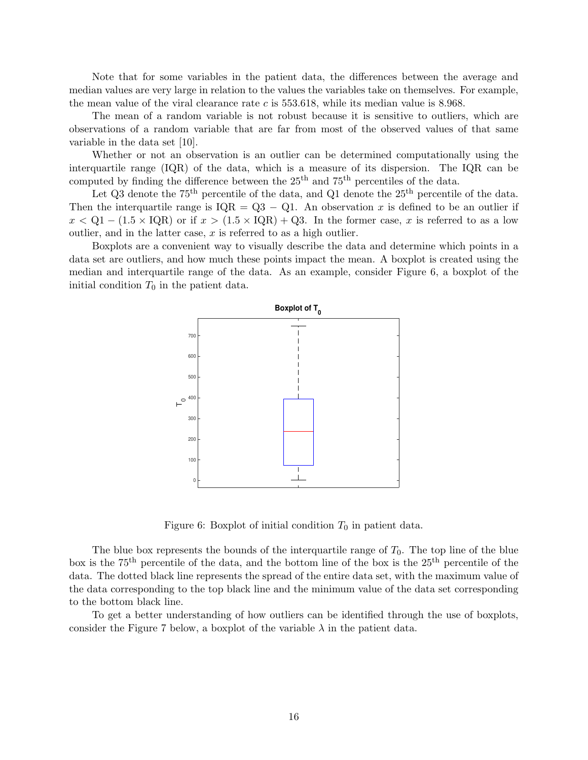Note that for some variables in the patient data, the differences between the average and median values are very large in relation to the values the variables take on themselves. For example, the mean value of the viral clearance rate  $c$  is  $553.618$ , while its median value is 8.968.

The mean of a random variable is not robust because it is sensitive to outliers, which are observations of a random variable that are far from most of the observed values of that same variable in the data set [10].

Whether or not an observation is an outlier can be determined computationally using the interquartile range (IQR) of the data, which is a measure of its dispersion. The IQR can be computed by finding the difference between the  $25<sup>th</sup>$  and  $75<sup>th</sup>$  percentiles of the data.

Let  $Q3$  denote the 75<sup>th</sup> percentile of the data, and  $Q1$  denote the  $25<sup>th</sup>$  percentile of the data. Then the interquartile range is  $IQR = Q3 - Q1$ . An observation x is defined to be an outlier if  $x < Q1 - (1.5 \times IQR)$  or if  $x > (1.5 \times IQR) + Q3$ . In the former case, x is referred to as a low outlier, and in the latter case,  $x$  is referred to as a high outlier.

Boxplots are a convenient way to visually describe the data and determine which points in a data set are outliers, and how much these points impact the mean. A boxplot is created using the median and interquartile range of the data. As an example, consider Figure 6, a boxplot of the initial condition  $T_0$  in the patient data.



Figure 6: Boxplot of initial condition  $T_0$  in patient data.

The blue box represents the bounds of the interquartile range of  $T_0$ . The top line of the blue box is the  $75<sup>th</sup>$  percentile of the data, and the bottom line of the box is the  $25<sup>th</sup>$  percentile of the data. The dotted black line represents the spread of the entire data set, with the maximum value of the data corresponding to the top black line and the minimum value of the data set corresponding to the bottom black line.

To get a better understanding of how outliers can be identified through the use of boxplots, consider the Figure 7 below, a boxplot of the variable  $\lambda$  in the patient data.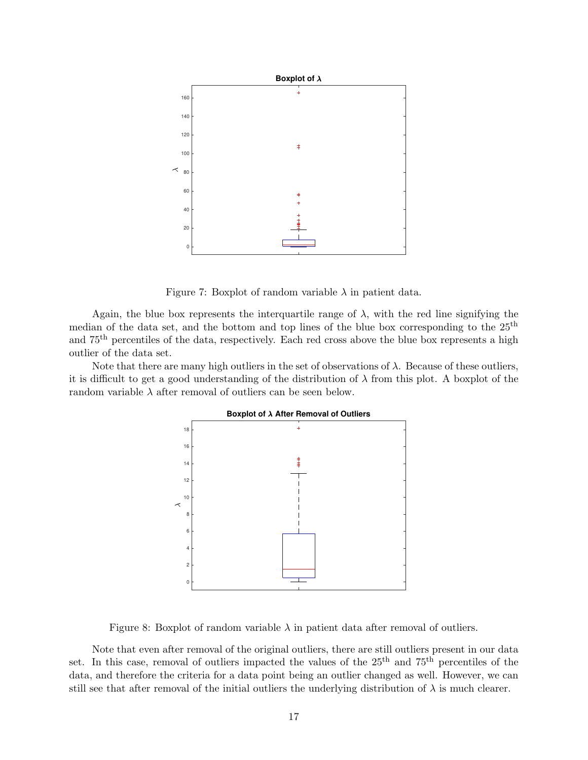

Figure 7: Boxplot of random variable  $\lambda$  in patient data.

Again, the blue box represents the interquartile range of  $\lambda$ , with the red line signifying the median of the data set, and the bottom and top lines of the blue box corresponding to the 25th and 75th percentiles of the data, respectively. Each red cross above the blue box represents a high outlier of the data set.

Note that there are many high outliers in the set of observations of  $\lambda$ . Because of these outliers, it is difficult to get a good understanding of the distribution of  $\lambda$  from this plot. A boxplot of the random variable  $\lambda$  after removal of outliers can be seen below.



Figure 8: Boxplot of random variable  $\lambda$  in patient data after removal of outliers.

Note that even after removal of the original outliers, there are still outliers present in our data set. In this case, removal of outliers impacted the values of the  $25<sup>th</sup>$  and  $75<sup>th</sup>$  percentiles of the data, and therefore the criteria for a data point being an outlier changed as well. However, we can still see that after removal of the initial outliers the underlying distribution of  $\lambda$  is much clearer.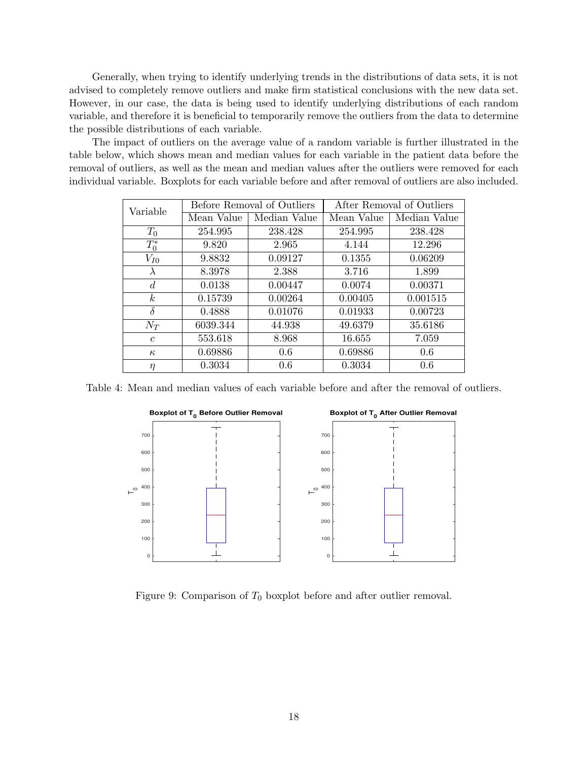Generally, when trying to identify underlying trends in the distributions of data sets, it is not advised to completely remove outliers and make firm statistical conclusions with the new data set. However, in our case, the data is being used to identify underlying distributions of each random variable, and therefore it is beneficial to temporarily remove the outliers from the data to determine the possible distributions of each variable.

The impact of outliers on the average value of a random variable is further illustrated in the table below, which shows mean and median values for each variable in the patient data before the removal of outliers, as well as the mean and median values after the outliers were removed for each individual variable. Boxplots for each variable before and after removal of outliers are also included.

| Variable       | Before Removal of Outliers |              | After Removal of Outliers |              |
|----------------|----------------------------|--------------|---------------------------|--------------|
|                | Mean Value                 | Median Value | Mean Value                | Median Value |
| $T_0$          | 254.995                    | 238.428      | 254.995                   | 238.428      |
| $T_0^*$        | 9.820                      | 2.965        | 4.144                     | 12.296       |
| $V_{I0}$       | 9.8832                     | 0.09127      | 0.1355                    | 0.06209      |
| $\lambda$      | 8.3978                     | 2.388        | 3.716                     | 1.899        |
| $\overline{d}$ | 0.0138                     | 0.00447      | 0.0074                    | 0.00371      |
| k <sub>i</sub> | 0.15739                    | 0.00264      | 0.00405                   | 0.001515     |
| $\delta$       | 0.4888                     | 0.01076      | 0.01933                   | 0.00723      |
| $N_T$          | 6039.344                   | 44.938       | 49.6379                   | 35.6186      |
| $\mathfrak{c}$ | 553.618                    | 8.968        | 16.655                    | 7.059        |
| $\kappa$       | 0.69886                    | 0.6          | 0.69886                   | 0.6          |
| $\eta$         | 0.3034                     | 0.6          | 0.3034                    | 0.6          |

Table 4: Mean and median values of each variable before and after the removal of outliers.



Figure 9: Comparison of  $T_0$  boxplot before and after outlier removal.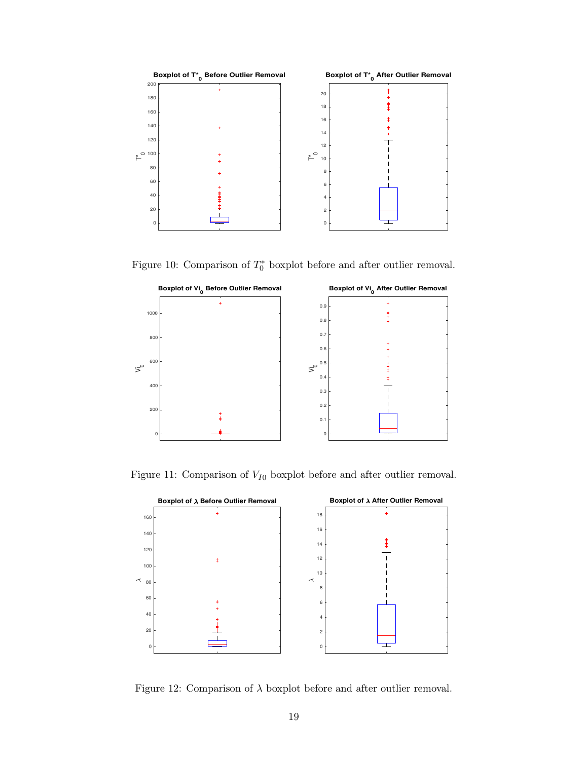

Figure 10: Comparison of  $T_0^*$  boxplot before and after outlier removal.



Figure 11: Comparison of  $V_{I0}$  boxplot before and after outlier removal.



Figure 12: Comparison of  $\lambda$  boxplot before and after outlier removal.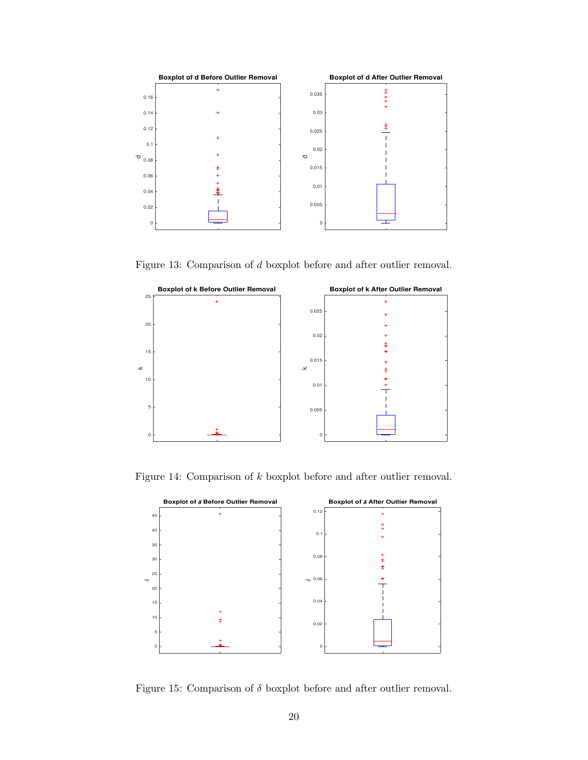

Figure 13: Comparison of d boxplot before and after outlier removal.



Figure 14: Comparison of k boxplot before and after outlier removal.



Figure 15: Comparison of  $\delta$  boxplot before and after outlier removal.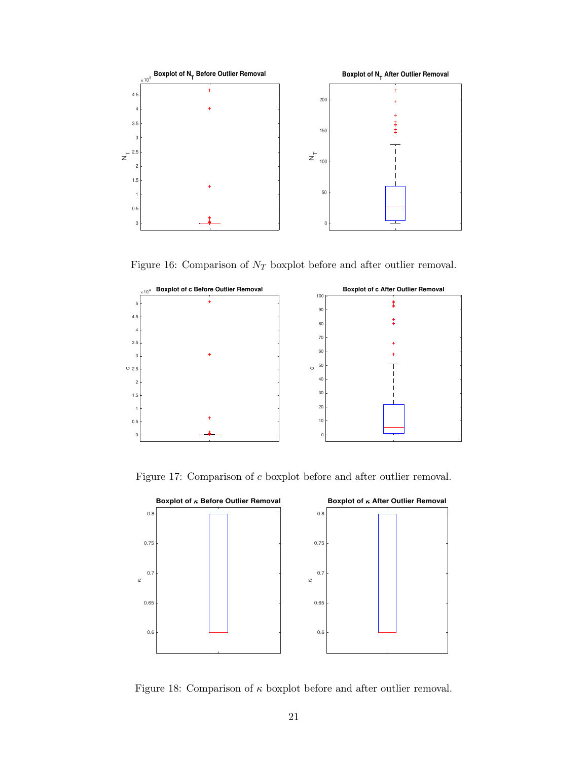

Figure 16: Comparison of  $N_{\cal T}$  boxplot before and after outlier removal.



Figure 17: Comparison of c boxplot before and after outlier removal.



Figure 18: Comparison of  $\kappa$  boxplot before and after outlier removal.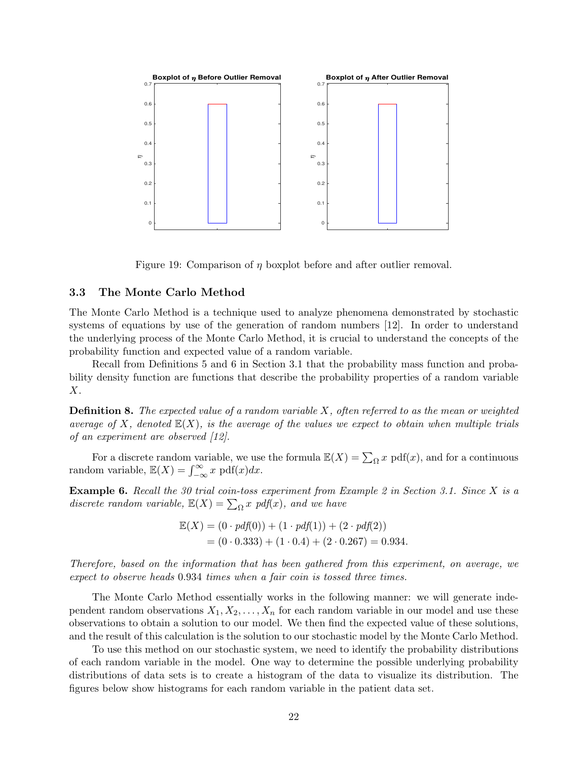

Figure 19: Comparison of  $\eta$  boxplot before and after outlier removal.

### 3.3 The Monte Carlo Method

The Monte Carlo Method is a technique used to analyze phenomena demonstrated by stochastic systems of equations by use of the generation of random numbers [12]. In order to understand the underlying process of the Monte Carlo Method, it is crucial to understand the concepts of the probability function and expected value of a random variable.

Recall from Definitions 5 and 6 in Section 3.1 that the probability mass function and probability density function are functions that describe the probability properties of a random variable X.

**Definition 8.** The expected value of a random variable  $X$ , often referred to as the mean or weighted average of X, denoted  $\mathbb{E}(X)$ , is the average of the values we expect to obtain when multiple trials of an experiment are observed [12].

For a discrete random variable, we use the formula  $\mathbb{E}(X) = \sum_{\Omega} x \text{ pdf}(x)$ , and for a continuous random variable,  $\mathbb{E}(X) = \int_{-\infty}^{\infty} x \, \text{pdf}(x) dx$ .

**Example 6.** Recall the 30 trial coin-toss experiment from Example 2 in Section 3.1. Since X is a discrete random variable,  $\mathbb{E}(X) = \sum_{\Omega} x \text{ pdf}(x)$ , and we have

$$
\mathbb{E}(X) = (0 \cdot pdf(0)) + (1 \cdot pdf(1)) + (2 \cdot pdf(2))
$$
  
= (0 \cdot 0.333) + (1 \cdot 0.4) + (2 \cdot 0.267) = 0.934.

Therefore, based on the information that has been gathered from this experiment, on average, we expect to observe heads 0.934 times when a fair coin is tossed three times.

The Monte Carlo Method essentially works in the following manner: we will generate independent random observations  $X_1, X_2, \ldots, X_n$  for each random variable in our model and use these observations to obtain a solution to our model. We then find the expected value of these solutions, and the result of this calculation is the solution to our stochastic model by the Monte Carlo Method.

To use this method on our stochastic system, we need to identify the probability distributions of each random variable in the model. One way to determine the possible underlying probability distributions of data sets is to create a histogram of the data to visualize its distribution. The figures below show histograms for each random variable in the patient data set.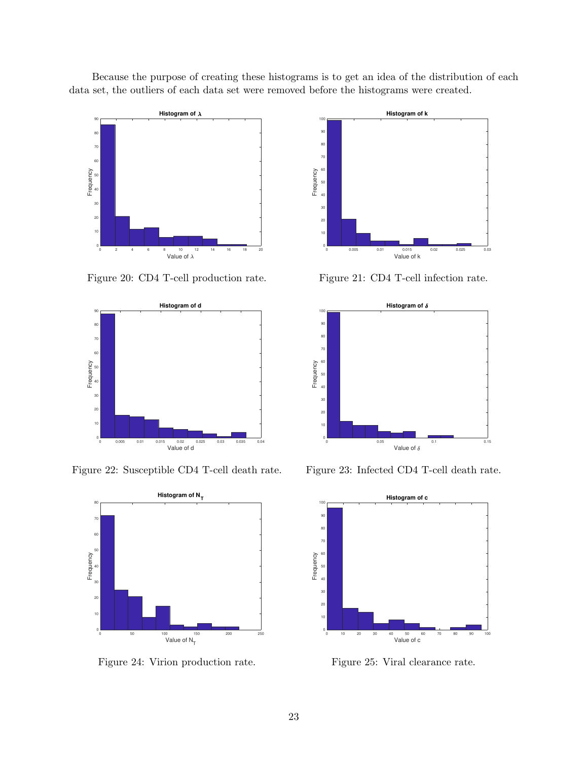Because the purpose of creating these histograms is to get an idea of the distribution of each data set, the outliers of each data set were removed before the histograms were created.



Figure 20: CD4 T-cell production rate.



Figure 22: Susceptible CD4 T-cell death rate.



Figure 24: Virion production rate.



Figure 21: CD4 T-cell infection rate.



Figure 23: Infected CD4 T-cell death rate.



Figure 25: Viral clearance rate.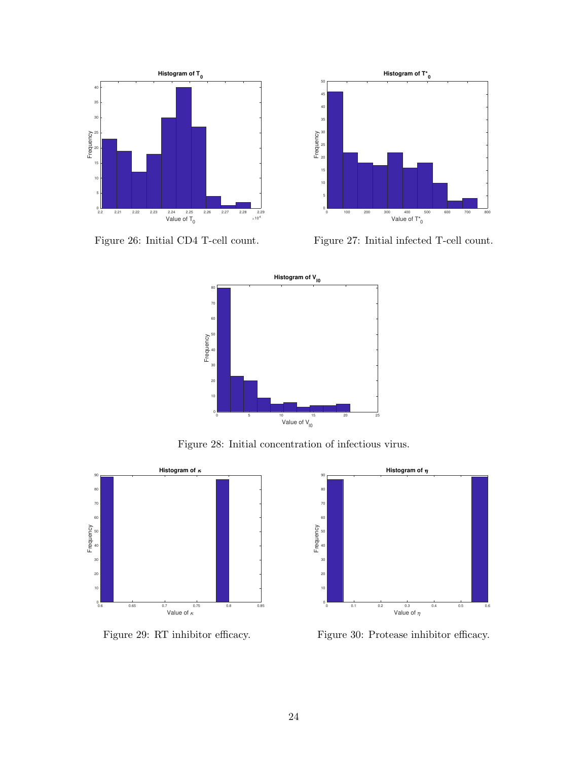

Figure 26: Initial CD4 T-cell count.



Figure 27: Initial infected T-cell count.



Figure 28: Initial concentration of infectious virus.



Figure 29: RT inhibitor efficacy.



Figure 30: Protease inhibitor efficacy.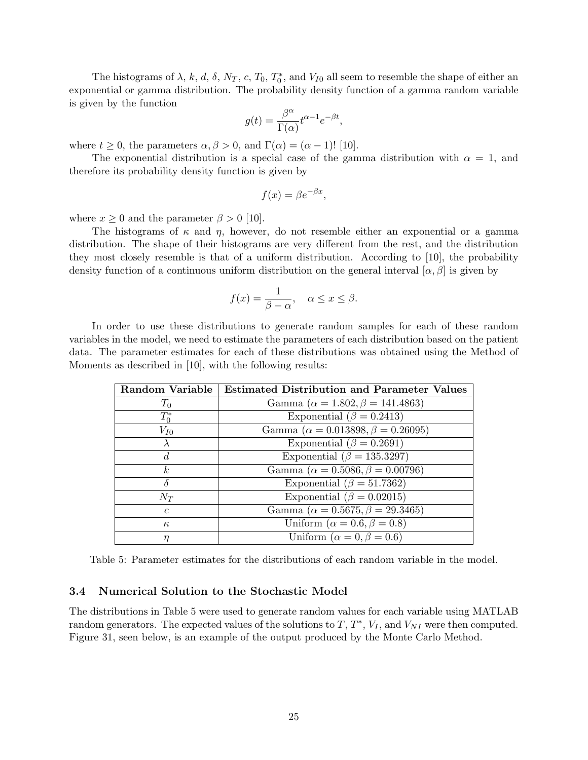The histograms of  $\lambda$ , k, d,  $\delta$ ,  $N_T$ , c,  $T_0$ ,  $T_0^*$ , and  $V_{I0}$  all seem to resemble the shape of either an exponential or gamma distribution. The probability density function of a gamma random variable is given by the function

$$
g(t) = \frac{\beta^{\alpha}}{\Gamma(\alpha)} t^{\alpha - 1} e^{-\beta t},
$$

where  $t \geq 0$ , the parameters  $\alpha, \beta > 0$ , and  $\Gamma(\alpha) = (\alpha - 1)!$  [10].

The exponential distribution is a special case of the gamma distribution with  $\alpha = 1$ , and therefore its probability density function is given by

$$
f(x) = \beta e^{-\beta x},
$$

where  $x \geq 0$  and the parameter  $\beta > 0$  [10].

The histograms of  $\kappa$  and  $\eta$ , however, do not resemble either an exponential or a gamma distribution. The shape of their histograms are very different from the rest, and the distribution they most closely resemble is that of a uniform distribution. According to [10], the probability density function of a continuous uniform distribution on the general interval  $[\alpha, \beta]$  is given by

$$
f(x) = \frac{1}{\beta - \alpha}, \quad \alpha \le x \le \beta.
$$

In order to use these distributions to generate random samples for each of these random variables in the model, we need to estimate the parameters of each distribution based on the patient data. The parameter estimates for each of these distributions was obtained using the Method of Moments as described in [10], with the following results:

| <b>Random Variable</b> | <b>Estimated Distribution and Parameter Values</b> |
|------------------------|----------------------------------------------------|
| $T_0$                  | Gamma ( $\alpha = 1.802, \beta = 141.4863$ )       |
| $T_0^*$                | Exponential ( $\beta = 0.2413$ )                   |
| $V_{I0}$               | Gamma ( $\alpha = 0.013898, \beta = 0.26095$ )     |
|                        | Exponential ( $\beta = 0.2691$ )                   |
| d.                     | Exponential ( $\beta = 135.3297$ )                 |
| k <sub>i</sub>         | Gamma ( $\alpha = 0.5086, \beta = 0.00796$ )       |
|                        | Exponential ( $\beta = 51.7362$ )                  |
| $N_T$                  | Exponential ( $\beta = 0.02015$ )                  |
| $\epsilon$             | Gamma ( $\alpha = 0.5675, \beta = 29.3465$ )       |
| $\kappa$               | Uniform ( $\alpha = 0.6, \beta = 0.8$ )            |
|                        | Uniform ( $\alpha = 0, \beta = 0.6$ )              |

Table 5: Parameter estimates for the distributions of each random variable in the model.

#### 3.4 Numerical Solution to the Stochastic Model

The distributions in Table 5 were used to generate random values for each variable using MATLAB random generators. The expected values of the solutions to  $T, T^*, V_I$ , and  $V_{NI}$  were then computed. Figure 31, seen below, is an example of the output produced by the Monte Carlo Method.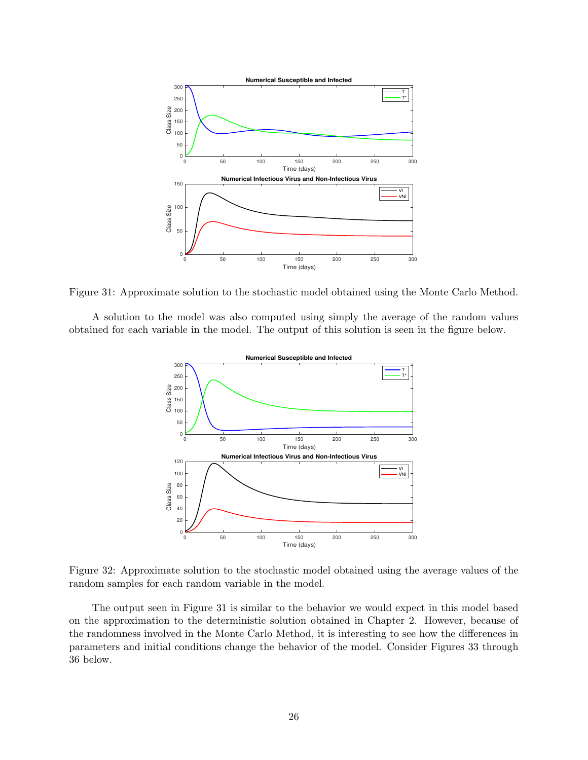

Figure 31: Approximate solution to the stochastic model obtained using the Monte Carlo Method.

A solution to the model was also computed using simply the average of the random values obtained for each variable in the model. The output of this solution is seen in the figure below.



Figure 32: Approximate solution to the stochastic model obtained using the average values of the random samples for each random variable in the model.

The output seen in Figure 31 is similar to the behavior we would expect in this model based on the approximation to the deterministic solution obtained in Chapter 2. However, because of the randomness involved in the Monte Carlo Method, it is interesting to see how the differences in parameters and initial conditions change the behavior of the model. Consider Figures 33 through 36 below.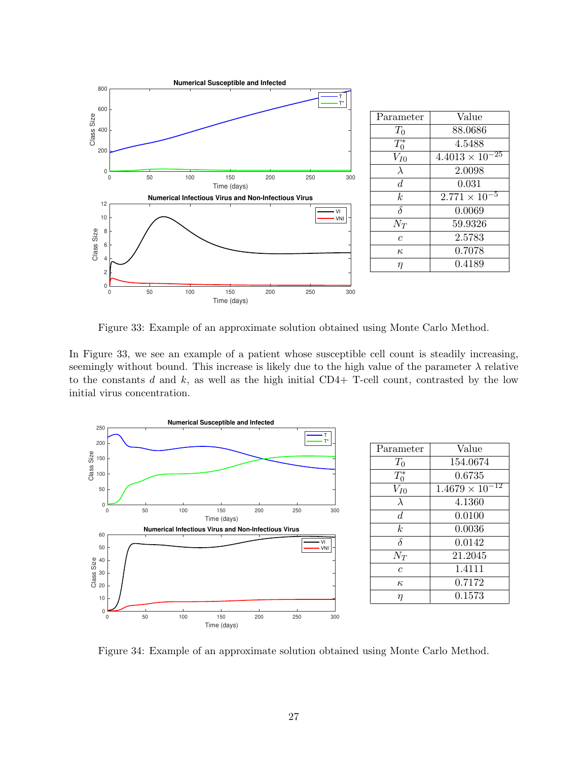

Figure 33: Example of an approximate solution obtained using Monte Carlo Method.

In Figure 33, we see an example of a patient whose susceptible cell count is steadily increasing, seemingly without bound. This increase is likely due to the high value of the parameter  $\lambda$  relative to the constants d and k, as well as the high initial  $CD4+$  T-cell count, contrasted by the low initial virus concentration.



| Parameter      | Value                                 |
|----------------|---------------------------------------|
| $T_0$          | 154.0674                              |
| $T_0^*$        | 0.6735                                |
| $V_{I0}$       | $\overline{12}$<br>$1.4679 \times 10$ |
| $\lambda$      | 4.1360                                |
| $\overline{d}$ | 0.0100                                |
| k.             | 0.0036                                |
| $\delta$       | 0.0142                                |
| $N_{T}$        | 21.2045                               |
| $\mathfrak c$  | 1.4111                                |
| $\kappa$       | 0.7172                                |
| η              | 0.1573                                |
|                |                                       |

Figure 34: Example of an approximate solution obtained using Monte Carlo Method.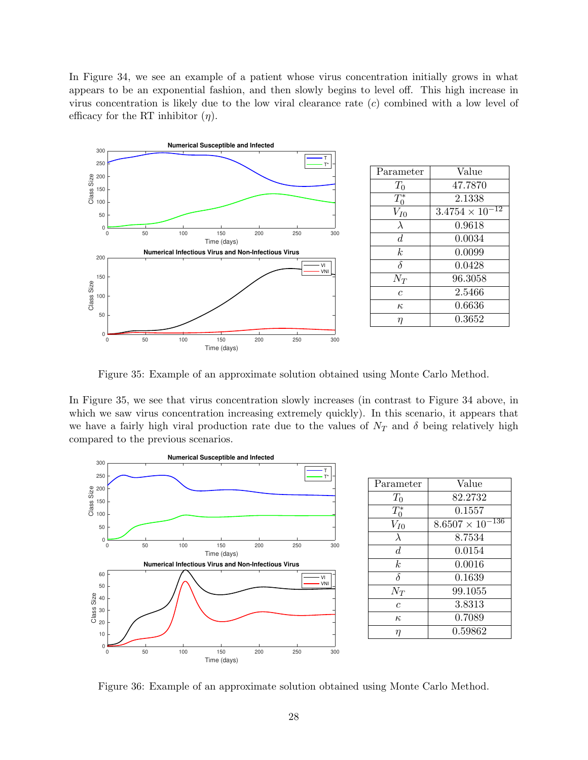In Figure 34, we see an example of a patient whose virus concentration initially grows in what appears to be an exponential fashion, and then slowly begins to level off. This high increase in virus concentration is likely due to the low viral clearance rate  $(c)$  combined with a low level of efficacy for the RT inhibitor  $(\eta)$ .



Figure 35: Example of an approximate solution obtained using Monte Carlo Method.

In Figure 35, we see that virus concentration slowly increases (in contrast to Figure 34 above, in which we saw virus concentration increasing extremely quickly). In this scenario, it appears that we have a fairly high viral production rate due to the values of  $N_T$  and  $\delta$  being relatively high compared to the previous scenarios.



| Parameter      | Value                           |
|----------------|---------------------------------|
| $T_0$          | 82.2732                         |
| $T_0^*$        | 0.1557                          |
| $V_{I0}$       | -136<br>$8.6507 \times 10^{-7}$ |
| $\lambda$      | 8.7534                          |
| $\overline{d}$ | 0.0154                          |
| k.             | 0.0016                          |
| $\delta$       | 0.1639                          |
| $N_T$          | 99.1055                         |
| Ċ              | 3.8313                          |
| $\kappa$       | 0.7089                          |
| η              | 0.59862                         |
|                |                                 |

Figure 36: Example of an approximate solution obtained using Monte Carlo Method.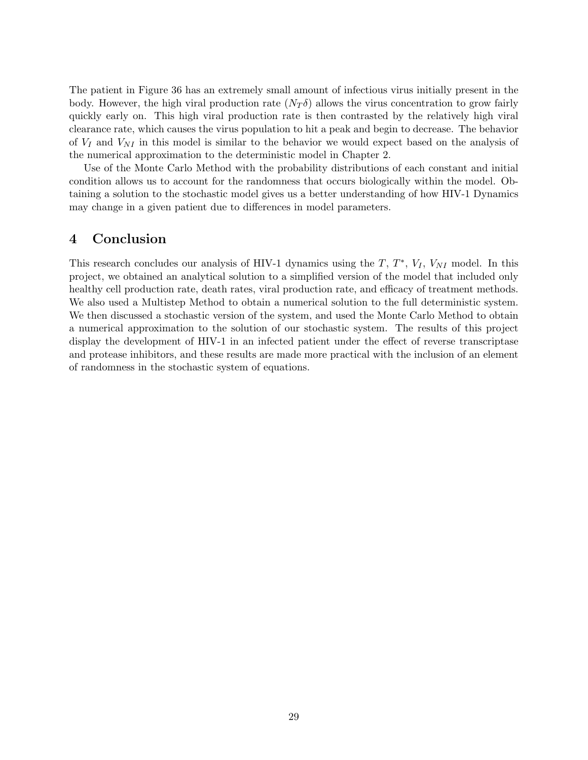The patient in Figure 36 has an extremely small amount of infectious virus initially present in the body. However, the high viral production rate  $(N_T\delta)$  allows the virus concentration to grow fairly quickly early on. This high viral production rate is then contrasted by the relatively high viral clearance rate, which causes the virus population to hit a peak and begin to decrease. The behavior of  $V_I$  and  $V_{NI}$  in this model is similar to the behavior we would expect based on the analysis of the numerical approximation to the deterministic model in Chapter 2.

Use of the Monte Carlo Method with the probability distributions of each constant and initial condition allows us to account for the randomness that occurs biologically within the model. Obtaining a solution to the stochastic model gives us a better understanding of how HIV-1 Dynamics may change in a given patient due to differences in model parameters.

## 4 Conclusion

This research concludes our analysis of HIV-1 dynamics using the  $T, T^*, V_I, V_{NI}$  model. In this project, we obtained an analytical solution to a simplified version of the model that included only healthy cell production rate, death rates, viral production rate, and efficacy of treatment methods. We also used a Multistep Method to obtain a numerical solution to the full deterministic system. We then discussed a stochastic version of the system, and used the Monte Carlo Method to obtain a numerical approximation to the solution of our stochastic system. The results of this project display the development of HIV-1 in an infected patient under the effect of reverse transcriptase and protease inhibitors, and these results are made more practical with the inclusion of an element of randomness in the stochastic system of equations.